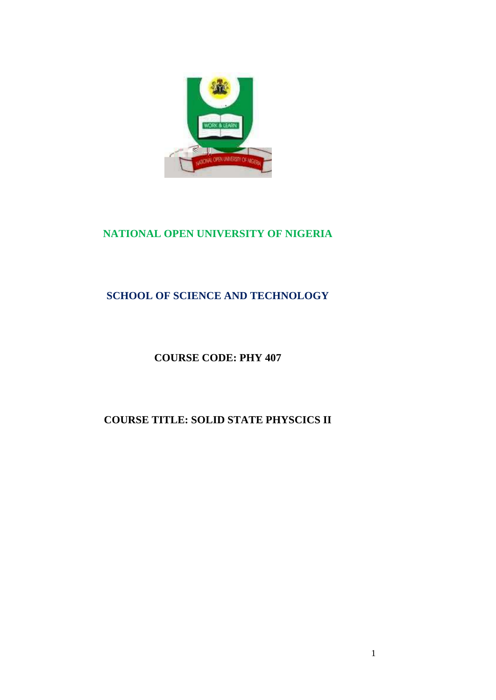

# **NATIONAL OPEN UNIVERSITY OF NIGERIA**

# **SCHOOL OF SCIENCE AND TECHNOLOGY**

# **COURSE CODE: PHY 407**

# **COURSE TITLE: SOLID STATE PHYSCICS II**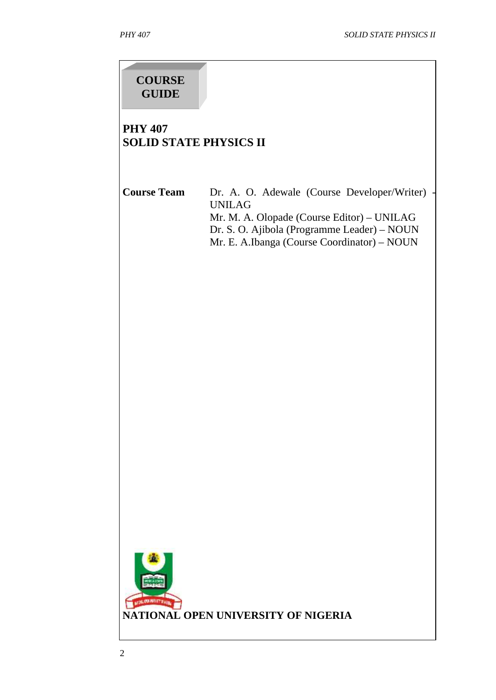# **COURSE GUIDE**

## **PHY 407 SOLID STATE PHYSICS II**

Course Team Dr. A. O. Adewale (Course Developer/Writer) UNILAG Mr. M. A. Olopade (Course Editor) – UNILAG Dr. S. O. Ajibola (Programme Leader) – NOUN Mr. E. A.Ibanga (Course Coordinator) – NOUN

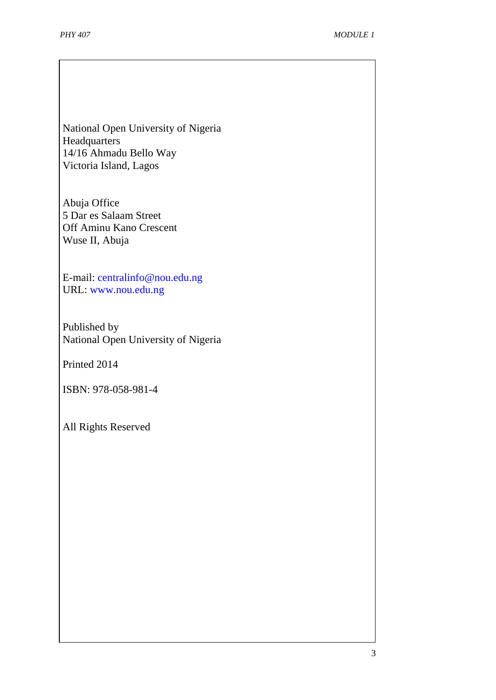National Open University of Nigeria **Headquarters** 14/16 Ahmadu Bello Way Victoria Island, Lagos

Abuja Office 5 Dar es Salaam Street Off Aminu Kano Crescent Wuse II, Abuja

E-mail: centralinfo@nou.edu.ng URL: www.nou.edu.ng

Published by National Open University of Nigeria

Printed 2014

ISBN: 978-058-981-4

All Rights Reserved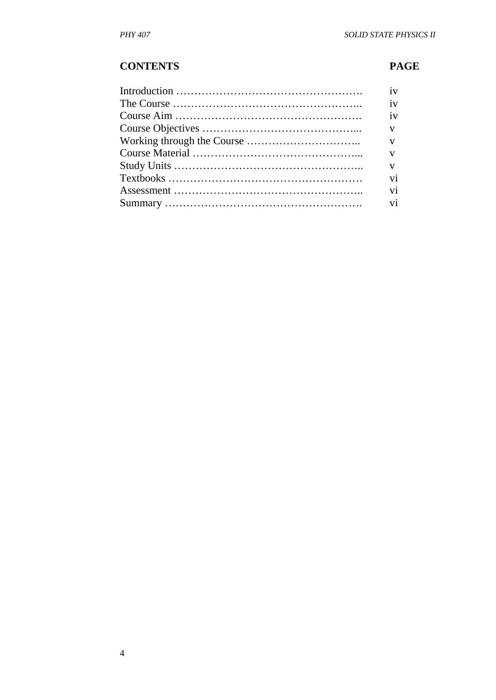## **CONTENTS PAGE**

| iv           |
|--------------|
| iv           |
| iv           |
| $\mathbf{V}$ |
| $\mathbf{V}$ |
| V            |
| V            |
| vi           |
| vi           |
| vi           |
|              |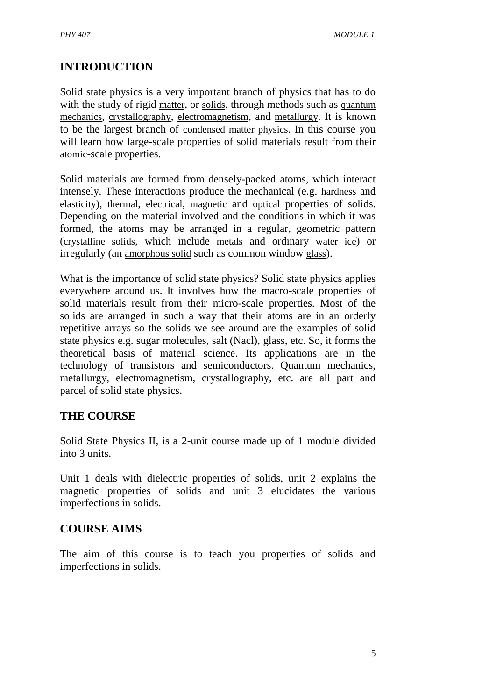# **INTRODUCTION**

Solid state physics is a very important branch of physics that has to do with the study of rigid [matter](http://en.wikipedia.org/wiki/Matter), or [solids](http://en.wikipedia.org/wiki/Solid), through methods such as [quantum](http://en.wikipedia.org/wiki/Quantum_mechanics)  [mechanics](http://en.wikipedia.org/wiki/Quantum_mechanics), [crystallography](http://en.wikipedia.org/wiki/Crystallography), [electromagnetism](http://en.wikipedia.org/wiki/Electromagnetism), and [metallurgy](http://en.wikipedia.org/wiki/Metallurgy). It is known to be the largest branch of [condensed matter physics](http://en.wikipedia.org/wiki/Condensed_matter_physics). In this course you will learn how large-scale properties of solid materials result from their [atomic](http://en.wikipedia.org/wiki/Atom)-scale properties.

Solid materials are formed from densely-packed atoms, which interact intensely. These interactions produce the mechanical (e.g. [hardness](http://en.wikipedia.org/wiki/Hardness) and [elasticity](http://en.wikipedia.org/wiki/Elasticity_(physics))), [thermal](http://en.wikipedia.org/wiki/Heat_conduction), [electrical](http://en.wikipedia.org/wiki/Electrical_conduction), [magnetic](http://en.wikipedia.org/wiki/Magnetism) and [optical](http://en.wikipedia.org/wiki/Crystal_optics) properties of solids. Depending on the material involved and the conditions in which it was formed, the atoms may be arranged in a regular, geometric pattern ([crystalline solids](http://en.wikipedia.org/wiki/Crystal), which include [metals](http://en.wikipedia.org/wiki/Metal) and ordinary [water ice](http://en.wikipedia.org/wiki/Ice)) or irregularly (an [amorphous solid](http://en.wikipedia.org/wiki/Amorphous_solid) such as common window [glass](http://en.wikipedia.org/wiki/Glass)).

What is the importance of solid state physics? Solid state physics applies everywhere around us. It involves how the macro-scale properties of solid materials result from their micro-scale properties. Most of the solids are arranged in such a way that their atoms are in an orderly repetitive arrays so the solids we see around are the examples of solid state physics e.g. sugar molecules, salt (Nacl), glass, etc. So, it forms the theoretical basis of material science. Its applications are in the technology of transistors and semiconductors. Quantum mechanics, metallurgy, electromagnetism, crystallography, etc. are all part and parcel of solid state physics.

## **THE COURSE**

Solid State Physics II, is a 2-unit course made up of 1 module divided into 3 units.

Unit 1 deals with dielectric properties of solids, unit 2 explains the magnetic properties of solids and unit 3 elucidates the various imperfections in solids.

# **COURSE AIMS**

The aim of this course is to teach you properties of solids and imperfections in solids.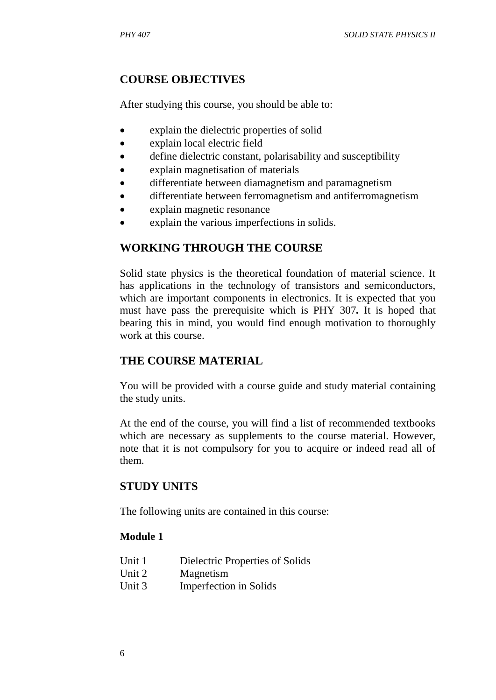# **COURSE OBJECTIVES**

After studying this course, you should be able to:

- explain the dielectric properties of solid
- explain local electric field
- define dielectric constant, polarisability and susceptibility
- x explain magnetisation of materials
- differentiate between diamagnetism and paramagnetism
- differentiate between ferromagnetism and antiferromagnetism
- x explain magnetic resonance
- x explain the various imperfections in solids.

# **WORKING THROUGH THE COURSE**

Solid state physics is the theoretical foundation of material science. It has applications in the technology of transistors and semiconductors, which are important components in electronics. It is expected that you must have pass the prerequisite which is PHY 307*.* It is hoped that bearing this in mind, you would find enough motivation to thoroughly work at this course.

# **THE COURSE MATERIAL**

You will be provided with a course guide and study material containing the study units.

At the end of the course, you will find a list of recommended textbooks which are necessary as supplements to the course material. However, note that it is not compulsory for you to acquire or indeed read all of them.

# **STUDY UNITS**

The following units are contained in this course:

### **Module 1**

- Unit 1 Dielectric Properties of Solids
- Unit 2 Magnetism
- Unit 3 Imperfection in Solids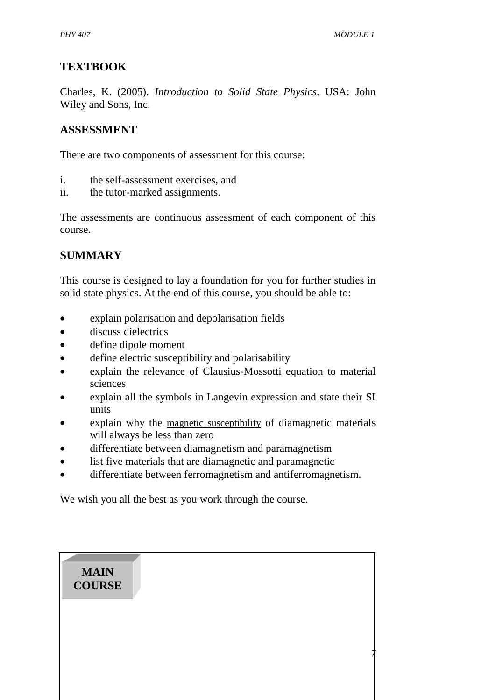7

## **TEXTBOOK**

Charles, K. (2005). *Introduction to Solid State Physics*. USA: John Wiley and Sons, Inc.

## **ASSESSMENT**

There are two components of assessment for this course:

- i. the self-assessment exercises, and
- ii. the tutor-marked assignments.

The assessments are continuous assessment of each component of this course.

## **SUMMARY**

This course is designed to lay a foundation for you for further studies in solid state physics. At the end of this course, you should be able to:

- x explain polarisation and depolarisation fields
- discuss dielectrics
- define dipole moment
- define electric susceptibility and polarisability
- x explain the relevance of Clausius-Mossotti equation to material sciences
- x explain all the symbols in Langevin expression and state their SI units
- x explain why the [magnetic susceptibility](http://en.wikipedia.org/wiki/Magnetic_susceptibility) of diamagnetic materials will always be less than zero
- differentiate between diamagnetism and paramagnetism
- list five materials that are diamagnetic and paramagnetic
- differentiate between ferromagnetism and antiferromagnetism.

We wish you all the best as you work through the course.

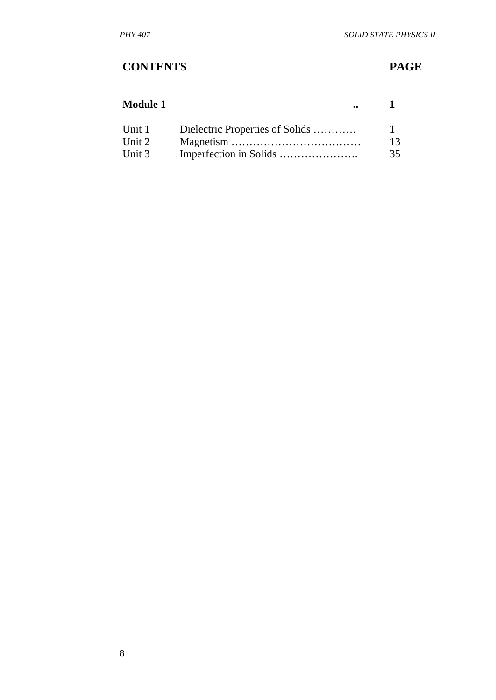# **CONTENTS PAGE**

| <b>Module 1</b> |                                 |    |
|-----------------|---------------------------------|----|
| Unit 1          | Dielectric Properties of Solids |    |
| Unit 2          |                                 | 13 |
| Unit 3          |                                 | 35 |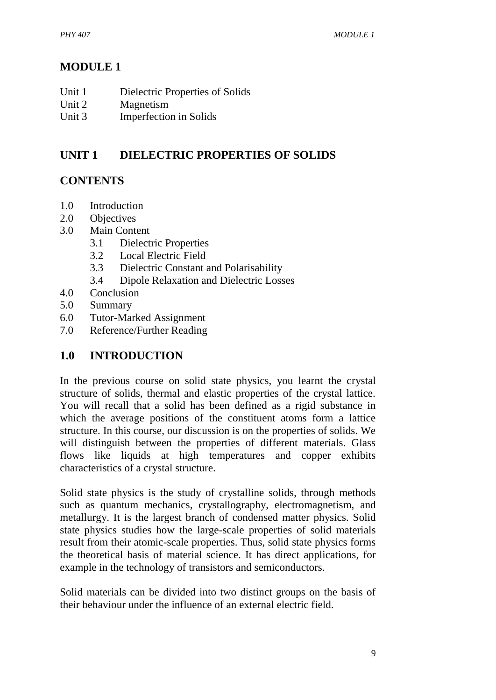# **MODULE 1**

| Unit 1 | Dielectric Properties of Solids |
|--------|---------------------------------|
| Unit 2 | Magnetism                       |

Unit 3 Imperfection in Solids

# **UNIT 1 DIELECTRIC PROPERTIES OF SOLIDS**

# **CONTENTS**

- 1.0 Introduction
- 2.0 Objectives
- 3.0 Main Content
	- 3.1 Dielectric Properties
	- 3.2 Local Electric Field
	- 3.3 Dielectric Constant and Polarisability
	- 3.4 Dipole Relaxation and Dielectric Losses
- 4.0 Conclusion
- 5.0 Summary
- 6.0 Tutor-Marked Assignment
- 7.0 Reference/Further Reading

## **1.0 INTRODUCTION**

In the previous course on solid state physics, you learnt the crystal structure of solids, thermal and elastic properties of the crystal lattice. You will recall that a solid has been defined as a rigid substance in which the average positions of the constituent atoms form a lattice structure. In this course, our discussion is on the properties of solids. We will distinguish between the properties of different materials. Glass flows like liquids at high temperatures and copper exhibits characteristics of a crystal structure.

Solid state physics is the study of crystalline [solids,](http://en.wikipedia.org/wiki/Solid) through methods such as [quantum mechanics,](http://en.wikipedia.org/wiki/Quantum_mechanics) [crystallography,](http://en.wikipedia.org/wiki/Crystallography) [electromagnetism,](http://en.wikipedia.org/wiki/Electromagnetism) and [metallurgy.](http://en.wikipedia.org/wiki/Metallurgy) It is the largest branch of [condensed matter physics.](http://en.wikipedia.org/wiki/Condensed_matter_physics) Solid state physics studies how the large-scale properties of solid materials result from their [atomic-](http://en.wikipedia.org/wiki/Atom)scale properties. Thus, solid state physics forms the theoretical basis of [material science.](http://en.wikipedia.org/wiki/Materials_science) It has direct applications, for example in the technology of [transistors](http://en.wikipedia.org/wiki/Transistor) and [semiconductors.](http://en.wikipedia.org/wiki/Semiconductor)

Solid materials can be divided into two distinct groups on the basis of their behaviour under the influence of an external electric field.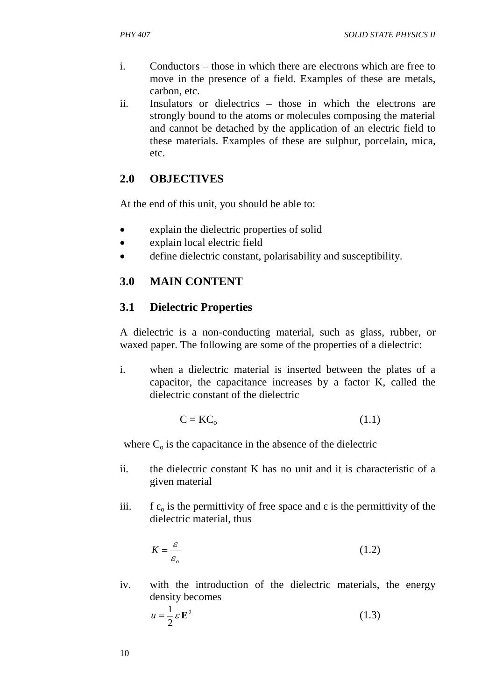- i. Conductors those in which there are electrons which are free to move in the presence of a field. Examples of these are metals, carbon, etc.
- ii. Insulators or dielectrics those in which the electrons are strongly bound to the atoms or molecules composing the material and cannot be detached by the application of an electric field to these materials. Examples of these are sulphur, porcelain, mica, etc.

## **2.0 OBJECTIVES**

At the end of this unit, you should be able to:

- explain the dielectric properties of solid
- explain local electric field
- define dielectric constant, polarisability and susceptibility.

## **3.0 MAIN CONTENT**

## **3.1 Dielectric Properties**

A dielectric is a non-conducting material, such as glass, rubber, or waxed paper. The following are some of the properties of a dielectric:

i. when a dielectric material is inserted between the plates of a capacitor, the capacitance increases by a factor K, called the dielectric constant of the dielectric

$$
C = KC_0 \tag{1.1}
$$

where  $C_0$  is the capacitance in the absence of the dielectric

- ii. the dielectric constant K has no unit and it is characteristic of a given material
- iii. f  $\epsilon_0$  is the permittivity of free space and is the permittivity of the dielectric material, thus

$$
K = \frac{\varepsilon}{\varepsilon_o} \tag{1.2}
$$

iv. with the introduction of the dielectric materials, the energy density becomes

$$
u = \frac{1}{2} \varepsilon \mathbf{E}^2 \tag{1.3}
$$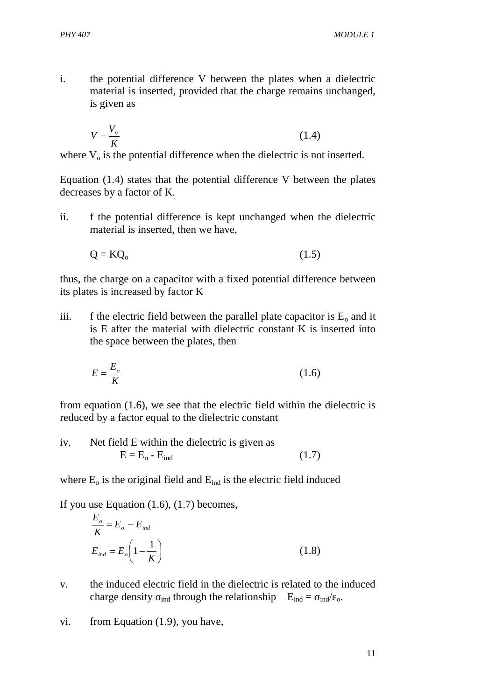i. the potential difference V between the plates when a dielectric material is inserted, provided that the charge remains unchanged, is given as

$$
V = \frac{V_o}{K} \tag{1.4}
$$

where  $V_0$  is the potential difference when the dielectric is not inserted.

Equation (1.4) states that the potential difference V between the plates decreases by a factor of K.

ii. f the potential difference is kept unchanged when the dielectric material is inserted, then we have,

$$
Q = KQ_o \tag{1.5}
$$

thus, the charge on a capacitor with a fixed potential difference between its plates is increased by factor K

iii. f the electric field between the parallel plate capacitor is  $E_0$  and it is E after the material with dielectric constant K is inserted into the space between the plates, then

$$
E = \frac{E_o}{K} \tag{1.6}
$$

from equation (1.6), we see that the electric field within the dielectric is reduced by a factor equal to the dielectric constant

iv. Net field E within the dielectric is given as  $E = E_0 - E_{ind}$  (1.7)

where  $E_0$  is the original field and  $E_{ind}$  is the electric field induced

If you use Equation (1.6), (1.7) becomes,

$$
\frac{E_o}{K} = E_o - E_{ind}
$$
  

$$
E_{ind} = E_o \left( 1 - \frac{1}{K} \right)
$$
 (1.8)

- v. the induced electric field in the dielectric is related to the induced charge density  $_{\text{ind}}$  through the relationship  $E_{\text{ind}} = \frac{1}{\text{ind}}$  o.
- vi. from Equation (1.9), you have,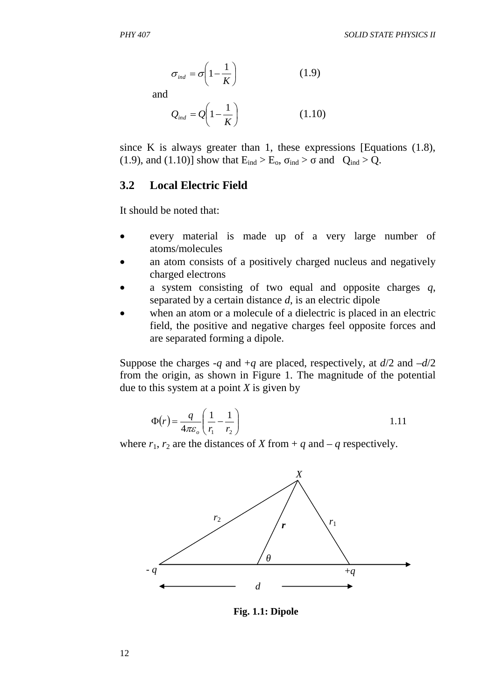$$
\sigma_{\text{ind}} = \sigma \left( 1 - \frac{1}{K} \right) \tag{1.9}
$$

and

$$
Q_{ind} = Q\left(1 - \frac{1}{K}\right) \tag{1.10}
$$

since K is always greater than 1, these expressions [Equations (1.8), (1.9), and (1.10)] show that  $E_{ind} > E_o$ ,  $_{ind} >$  and  $Q_{ind} > Q$ .

#### **3.2 Local Electric Field**

It should be noted that:

- every material is made up of a very large number of atoms/molecules
- an atom consists of a positively charged nucleus and negatively charged electrons
- x a system consisting of two equal and opposite charges *q*, separated by a certain distance *d*, is an electric dipole
- x when an atom or a molecule of a dielectric is placed in an electric field, the positive and negative charges feel opposite forces and are separated forming a dipole.

Suppose the charges  $-q$  and  $+q$  are placed, respectively, at  $d/2$  and  $-d/2$ from the origin, as shown in Figure 1. The magnitude of the potential due to this system at a point *X* is given by

$$
\Phi(r) = \frac{q}{4\pi\varepsilon_o} \left( \frac{1}{r_1} - \frac{1}{r_2} \right)
$$

where  $r_1$ ,  $r_2$  are the distances of *X* from + *q* and – *q* respectively.



**Fig. 1.1: Dipole**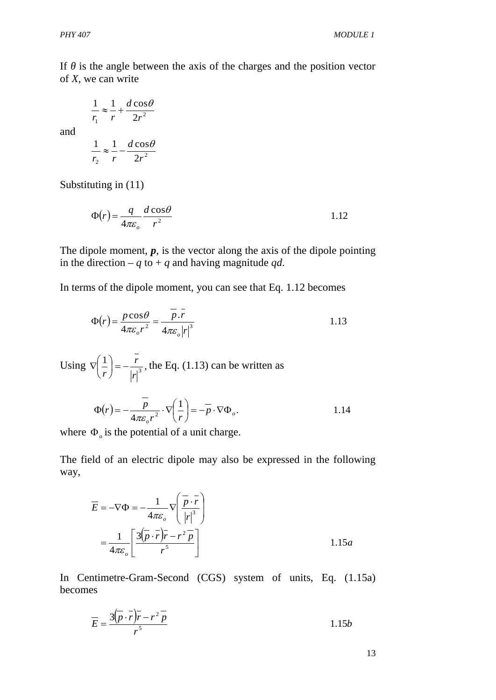If is the angle between the axis of the charges and the position vector of *X*, we can write

$$
\frac{1}{r_1} \approx \frac{1}{r} + \frac{d\cos\theta}{2r^2}
$$

and

$$
\frac{1}{r_2} \approx \frac{1}{r} - \frac{d\cos\theta}{2r^2}
$$

Substituting in (11)

$$
\Phi(r) = \frac{q}{4\pi\varepsilon_o} \frac{d\cos\theta}{r^2} \tag{1.12}
$$

The dipole moment,  $p$ , is the vector along the axis of the dipole pointing in the direction – *q* to + *q* and having magnitude *qd*.

In terms of the dipole moment, you can see that Eq. 1.12 becomes

$$
\Phi(r) = \frac{p \cos \theta}{4\pi \varepsilon_o r^2} = \frac{\overline{p} \cdot \overline{r}}{4\pi \varepsilon_o |r|^3}
$$

Using  $\nabla \left( \frac{1}{r} \right) = -\frac{r}{\sqrt{3}}$ ,  $r<sup>3</sup>$ *r r*  $\vert$  =  $-$ J  $\left(\frac{1}{-}\right)$  $\setminus$  $\nabla \left( \frac{1}{n} \right) = -\frac{r}{n^3}$ , the Eq. (1.13) can be written as

$$
\Phi(r) = -\frac{\overline{p}}{4\pi\varepsilon_o r^2} \cdot \nabla \left(\frac{1}{r}\right) = -\overline{p} \cdot \nabla \Phi_o.
$$

where  $\Phi_o$  is the potential of a unit charge.

The field of an electric dipole may also be expressed in the following way,

$$
\overline{E} = -\nabla \Phi = -\frac{1}{4\pi\varepsilon_o} \nabla \left( \frac{\overline{p} \cdot \overline{r}}{|r|^3} \right)
$$

$$
= \frac{1}{4\pi\varepsilon_o} \left[ \frac{3(\overline{p} \cdot \overline{r})\overline{r} - r^2 \overline{p}}{r^5} \right]
$$
 1.15*a*

In Centimetre-Gram-Second (CGS) system of units, Eq. (1.15a) becomes

$$
\overline{E} = \frac{3(\overline{p} \cdot \overline{r})\overline{r} - r^2 \overline{p}}{r^5}
$$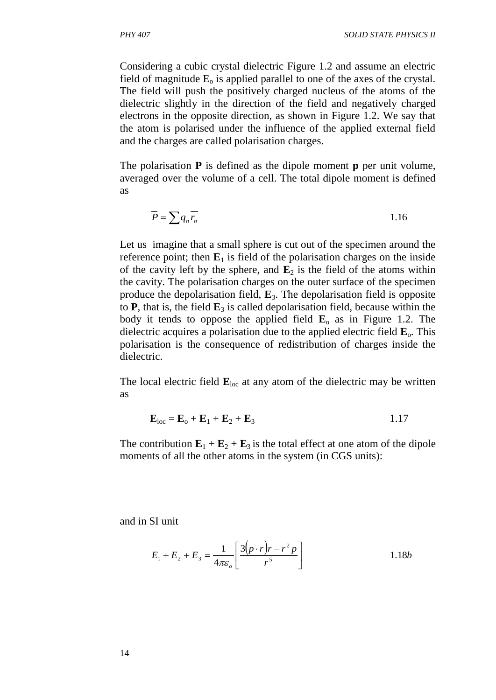Considering a cubic crystal dielectric Figure 1.2 and assume an electric field of magnitude  $E_0$  is applied parallel to one of the axes of the crystal. The field will push the positively charged nucleus of the atoms of the dielectric slightly in the direction of the field and negatively charged electrons in the opposite direction, as shown in Figure 1.2. We say that the atom is polarised under the influence of the applied external field and the charges are called polarisation charges.

The polarisation **P** is defined as the dipole moment **p** per unit volume, averaged over the volume of a cell. The total dipole moment is defined as

$$
\overline{P} = \sum q_n \overline{r_n} \tag{1.16}
$$

Let us imagine that a small sphere is cut out of the specimen around the reference point; then  $\mathbf{E}_1$  is field of the polarisation charges on the inside of the cavity left by the sphere, and  $\mathbf{E}_2$  is the field of the atoms within the cavity. The polarisation charges on the outer surface of the specimen produce the depolarisation field, **E**3. The depolarisation field is opposite to  $P$ , that is, the field  $E_3$  is called depolarisation field, because within the body it tends to oppose the applied field  $\mathbf{E}_0$  as in Figure 1.2. The dielectric acquires a polarisation due to the applied electric field  $\mathbf{E}_{\text{o}}$ . This polarisation is the consequence of redistribution of charges inside the dielectric.

The local electric field  $\mathbf{E}_{\text{loc}}$  at any atom of the dielectric may be written as

$$
\mathbf{E}_{\text{loc}} = \mathbf{E}_{\text{o}} + \mathbf{E}_{1} + \mathbf{E}_{2} + \mathbf{E}_{3}
$$

The contribution  $\mathbf{E}_1 + \mathbf{E}_2 + \mathbf{E}_3$  is the total effect at one atom of the dipole moments of all the other atoms in the system (in CGS units):

and in SI unit

$$
E_1 + E_2 + E_3 = \frac{1}{4\pi\varepsilon_o} \left[ \frac{3(\overline{p} \cdot \overline{r}) \overline{r} - r^2 p}{r^5} \right]
$$
 1.18b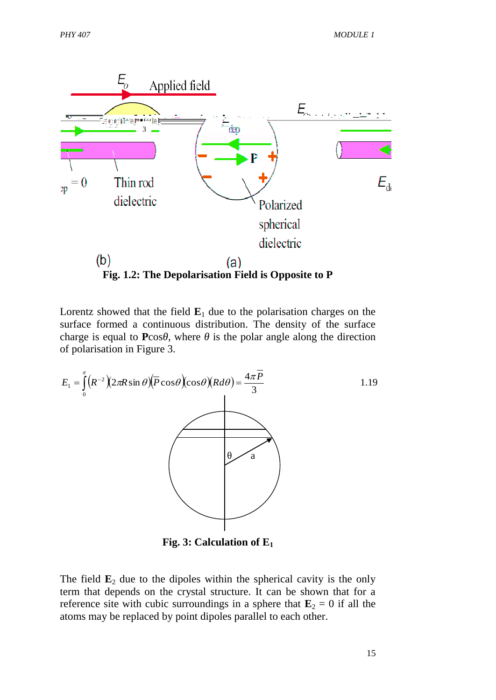

Lorentz showed that the field  $E_1$  due to the polarisation charges on the surface formed a continuous distribution. The density of the surface charge is equal to **P**cos , where is the polar angle along the direction of polarisation in Figure 3.



**Fig. 3: Calculation of E<sup>1</sup>**

The field  $\mathbf{E}_2$  due to the dipoles within the spherical cavity is the only term that depends on the crystal structure. It can be shown that for a reference site with cubic surroundings in a sphere that  $\mathbf{E}_2 = 0$  if all the atoms may be replaced by point dipoles parallel to each other.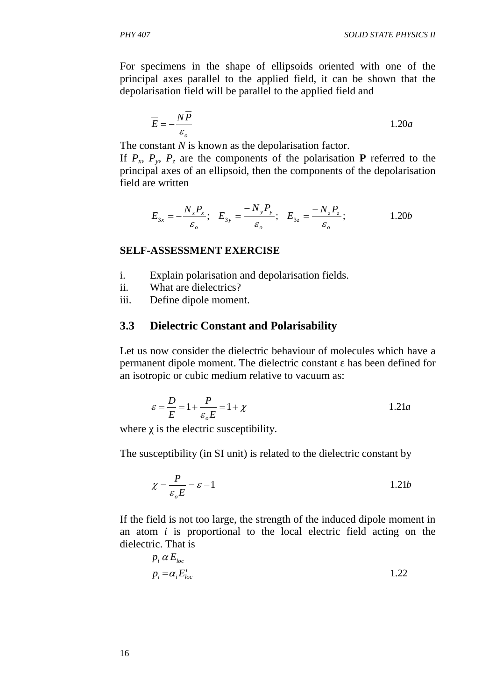For specimens in the shape of ellipsoids oriented with one of the principal axes parallel to the applied field, it can be shown that the depolarisation field will be parallel to the applied field and

$$
\overline{E} = -\frac{N\overline{P}}{\varepsilon_o} \tag{1.20a}
$$

The constant *N* is known as the depolarisation factor.

If  $P_x$ ,  $P_y$ ,  $P_z$  are the components of the polarisation **P** referred to the principal axes of an ellipsoid, then the components of the depolarisation field are written

$$
E_{3x} = -\frac{N_x P_x}{\varepsilon_o}; \quad E_{3y} = \frac{-N_y P_y}{\varepsilon_o}; \quad E_{3z} = \frac{-N_z P_z}{\varepsilon_o}; \quad 1.20b
$$

#### **SELF-ASSESSMENT EXERCISE**

- i. Explain polarisation and depolarisation fields.
- ii. What are dielectrics?
- iii. Define dipole moment.

#### **3.3 Dielectric Constant and Polarisability**

Let us now consider the dielectric behaviour of molecules which have a permanent dipole moment. The dielectric constant has been defined for an isotropic or cubic medium relative to vacuum as:

$$
\varepsilon = \frac{D}{E} = 1 + \frac{P}{\varepsilon_o E} = 1 + \chi \tag{1.21a}
$$

where is the electric susceptibility.

The susceptibility (in SI unit) is related to the dielectric constant by

$$
\chi = \frac{P}{\varepsilon_o E} = \varepsilon - 1
$$
 1.21b

If the field is not too large, the strength of the induced dipole moment in an atom *i* is proportional to the local electric field acting on the dielectric. That is

$$
p_i \alpha E_{loc}
$$
  
\n
$$
p_i = \alpha_i E_{loc}^i
$$
 1.22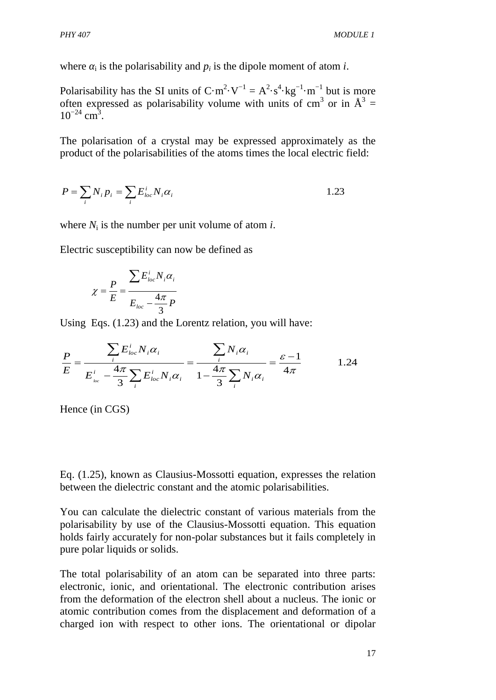where  $\mathbf{i}$  is the polarisability and  $p_i$  is the dipole moment of atom *i*.

Polarisability has the [SI units](http://en.wikipedia.org/wiki/SI_units) of  $C \cdot m^2 \cdot V^{-1} = A^2 \cdot s^4 \cdot kg^{-1} \cdot m^{-1}$  but is more often expressed as polarisability volume with units of cm<sup>3</sup> or in  $A^3 =$  $10^{-24}$  cm<sup>3</sup>.

The polarisation of a crystal may be expressed approximately as the product of the polarisabilities of the atoms times the local electric field:

$$
P = \sum_{i} N_i p_i = \sum_{i} E_{loc}^i N_i \alpha_i
$$

where  $N_i$  is the number per unit volume of atom *i*.

Electric susceptibility can now be defined as

$$
\chi = \frac{P}{E} = \frac{\sum E_{loc}^i N_i \alpha_i}{E_{loc} - \frac{4\pi}{3}P}
$$

Using Eqs. (1.23) and the Lorentz relation, you will have:

$$
\frac{P}{E} = \frac{\sum_{i} E_{loc}^i N_i \alpha_i}{E_{loc}^i - \frac{4\pi}{3} \sum_{i} E_{loc}^i N_i \alpha_i} = \frac{\sum_{i} N_i \alpha_i}{1 - \frac{4\pi}{3} \sum_{i} N_i \alpha_i} = \frac{\varepsilon - 1}{4\pi}
$$
 1.24

Hence (in CGS)

Eq. (1.25), known as Clausius-Mossotti equation, expresses the relation between the dielectric constant and the atomic polarisabilities.

You can calculate the dielectric constant of various materials from the polarisability by use of the Clausius-Mossotti equation. This equation holds fairly accurately for non-polar substances but it fails completely in pure polar liquids or solids.

The total polarisability of an atom can be separated into three parts: electronic, ionic, and orientational. The electronic contribution arises from the deformation of the electron shell about a nucleus. The ionic or atomic contribution comes from the displacement and deformation of a charged ion with respect to other ions. The orientational or dipolar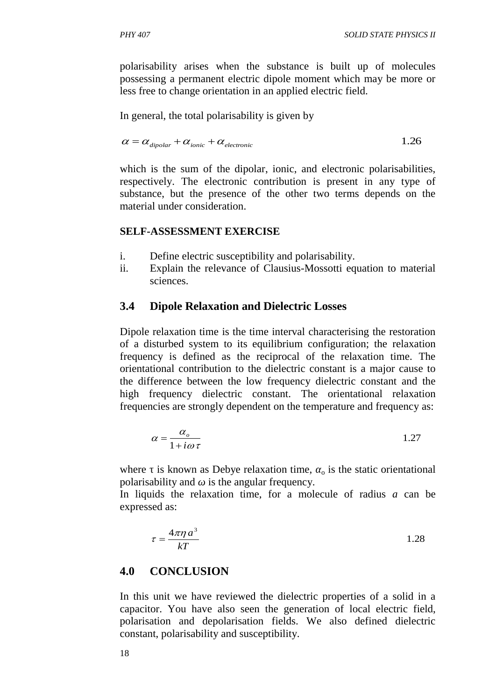polarisability arises when the substance is built up of molecules possessing a permanent electric dipole moment which may be more or less free to change orientation in an applied electric field.

In general, the total polarisability is given by

$$
\alpha = \alpha_{\text{dipolar}} + \alpha_{\text{ionic}} + \alpha_{\text{electronic}} \tag{1.26}
$$

which is the sum of the dipolar, ionic, and electronic polarisabilities, respectively. The electronic contribution is present in any type of substance, but the presence of the other two terms depends on the material under consideration.

### **SELF-ASSESSMENT EXERCISE**

- i. Define electric susceptibility and polarisability.
- ii. Explain the relevance of Clausius-Mossotti equation to material sciences.

## **3.4 Dipole Relaxation and Dielectric Losses**

Dipole relaxation time is the time interval characterising the restoration of a disturbed system to its equilibrium configuration; the relaxation frequency is defined as the reciprocal of the relaxation time. The orientational contribution to the dielectric constant is a major cause to the difference between the low frequency dielectric constant and the high frequency dielectric constant. The orientational relaxation frequencies are strongly dependent on the temperature and frequency as:

$$
\alpha = \frac{\alpha_o}{1 + i\omega\tau}
$$
 1.27

where is known as Debye relaxation time,  $\delta$  is the static orientational polarisability and is the angular frequency.

In liquids the relaxation time, for a molecule of radius *a* can be expressed as:

$$
\tau = \frac{4\pi\eta a^3}{kT}
$$
 1.28

## **4.0 CONCLUSION**

In this unit we have reviewed the dielectric properties of a solid in a capacitor. You have also seen the generation of local electric field, polarisation and depolarisation fields. We also defined dielectric constant, polarisability and susceptibility.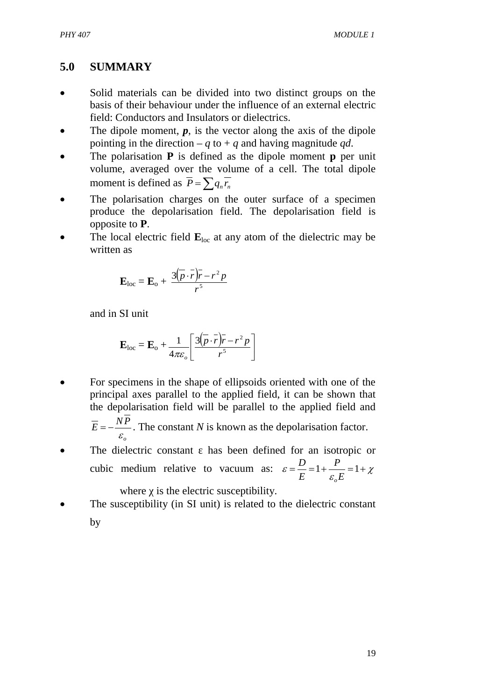# **5.0 SUMMARY**

- Solid materials can be divided into two distinct groups on the basis of their behaviour under the influence of an external electric field: Conductors and Insulators or dielectrics.
- The dipole moment,  $p$ , is the vector along the axis of the dipole pointing in the direction –  $q$  to +  $q$  and having magnitude  $qd$ .
- The polarisation **P** is defined as the dipole moment **p** per unit volume, averaged over the volume of a cell. The total dipole moment is defined as  $\overline{P} = \sum q_n \overline{r_n}$
- The polarisation charges on the outer surface of a specimen produce the depolarisation field. The depolarisation field is opposite to **P**.
- The local electric field  $\mathbf{E}_{\text{loc}}$  at any atom of the dielectric may be written as

$$
\mathbf{E}_{\rm loc} = \mathbf{E}_{\rm o} + \frac{3(\overline{p} \cdot \overline{r})\overline{r} - r^2 p}{r^5}
$$

and in SI unit

$$
\mathbf{E}_{\rm loc} = \mathbf{E}_{\rm o} + \frac{1}{4\pi\varepsilon_o} \left[ \frac{3(\overline{p} \cdot \overline{r}) \overline{r} - r^2 p}{r^5} \right]
$$

For specimens in the shape of ellipsoids oriented with one of the principal axes parallel to the applied field, it can be shown that the depolarisation field will be parallel to the applied field and

$$
\overline{E} = -\frac{NP}{\varepsilon_o}
$$
. The constant *N* is known as the depolarisation factor.

The dielectric constant has been defined for an isotropic or cubic medium relative to vacuum as:  $\varepsilon = \frac{E}{E} = 1 + \frac{I}{\varepsilon E} = 1 + \chi$ *E P E D o*

where is the electric susceptibility.

The susceptibility (in SI unit) is related to the dielectric constant by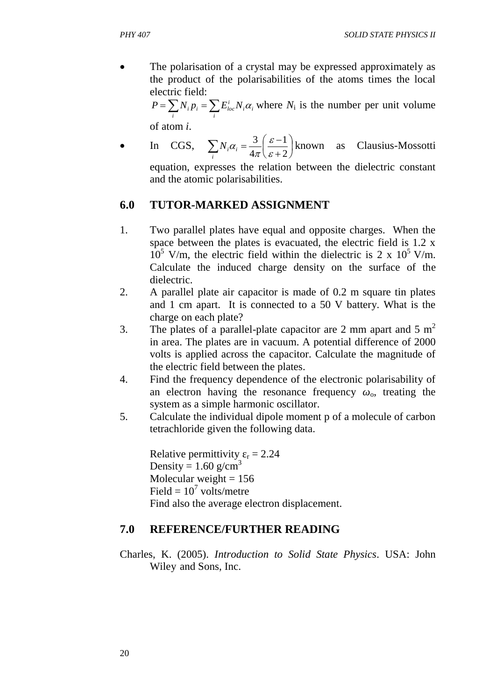The polarisation of a crystal may be expressed approximately as the product of the polarisabilities of the atoms times the local electric field:

> $=\sum_i N_i p_i = \sum_i$  $i^{\boldsymbol{\mu}}i$ *i loc i*  $P = \sum N_i p_i = \sum E_{loc}^i N_i \alpha_i$  where  $N_i$  is the number per unit volume

of atom *i*.

• In CGS,  $\sum N_i \alpha_i = \frac{3}{4} \left| \frac{e^{-\alpha}}{2} \right|$ ¹  $\left(\frac{\varepsilon-1}{2}\right)$  $\setminus$ §  $\ddot{}$  $\sum_i N_i \alpha_i = \frac{3}{4\pi} \left( \frac{\varepsilon - 1}{\varepsilon + 2} \right)$ 1 4 3  $\mathcal E$  $\mathcal E$  $\pi$  $\alpha$ *i*  $N_i \alpha_i = \frac{3}{4} \left( \frac{2}{3} \right)$  known as Clausius-Mossotti

equation, expresses the relation between the dielectric constant and the atomic polarisabilities.

## **6.0 TUTOR-MARKED ASSIGNMENT**

- 1. Two parallel plates have equal and opposite charges. When the space between the plates is evacuated, the electric field is 1.2 x  $10^5$  V/m, the electric field within the dielectric is 2 x  $10^5$  V/m. Calculate the induced charge density on the surface of the dielectric.
- 2. A parallel plate air capacitor is made of 0.2 m square tin plates and 1 cm apart. It is connected to a 50 V battery. What is the charge on each plate?
- 3. The plates of a parallel-plate capacitor are 2 mm apart and 5  $m<sup>2</sup>$ in area. The plates are in vacuum. A potential difference of 2000 volts is applied across the capacitor. Calculate the magnitude of the electric field between the plates.
- 4. Find the frequency dependence of the electronic polarisability of an electron having the resonance frequency  $\alpha$ , treating the system as a simple harmonic oscillator.
- 5. Calculate the individual dipole moment p of a molecule of carbon tetrachloride given the following data.

Relative permittivity  $r = 2.24$ Density =  $1.60$  g/cm<sup>3</sup> Molecular weight  $= 156$ Field =  $10^7$  volts/metre Find also the average electron displacement.

## **7.0 REFERENCE/FURTHER READING**

Charles, K. (2005). *Introduction to Solid State Physics*. USA: John Wiley and Sons, Inc.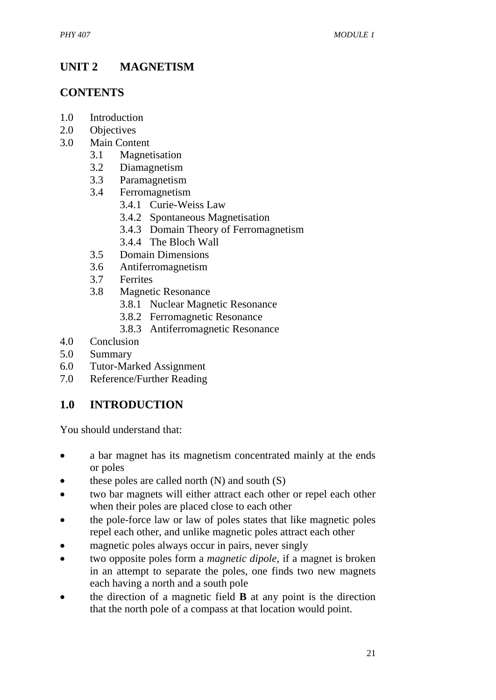# **UNIT 2 MAGNETISM**

# **CONTENTS**

- 1.0 Introduction
- 2.0 Objectives
- 3.0 Main Content
	- 3.1 Magnetisation
	- 3.2 Diamagnetism
	- 3.3 Paramagnetism
	- 3.4 Ferromagnetism
		- 3.4.1 Curie-Weiss Law
		- 3.4.2 Spontaneous Magnetisation
		- 3.4.3 [Domain Theory of Ferromagnetism](http://en.wikipedia.org/wiki/Domain_theory_of_ferromagnetism)
		- 3.4.4 The Bloch Wall
	- 3.5 Domain Dimensions
	- 3.6 Antiferromagnetism
	- 3.7 Ferrites
	- 3.8 Magnetic Resonance
		- 3.8.1 Nuclear Magnetic Resonance
		- 3.8.2 Ferromagnetic Resonance
		- 3.8.3 Antiferromagnetic Resonance
- 4.0 Conclusion
- 5.0 Summary
- 6.0 Tutor-Marked Assignment
- 7.0 Reference/Further Reading

# **1.0 INTRODUCTION**

You should understand that:

- a bar magnet has its magnetism concentrated mainly at the ends or poles
- these poles are called north  $(N)$  and south  $(S)$
- two bar magnets will either attract each other or repel each other when their poles are placed close to each other
- the pole-force law or law of poles states that like magnetic poles repel each other, and unlike magnetic poles attract each other
- magnetic poles always occur in pairs, never singly
- x two opposite poles form a *magnetic dipole*, if a magnet is broken in an attempt to separate the poles, one finds two new magnets each having a north and a south pole
- **•** the direction of a magnetic field **B** at any point is the direction that the north pole of a compass at that location would point.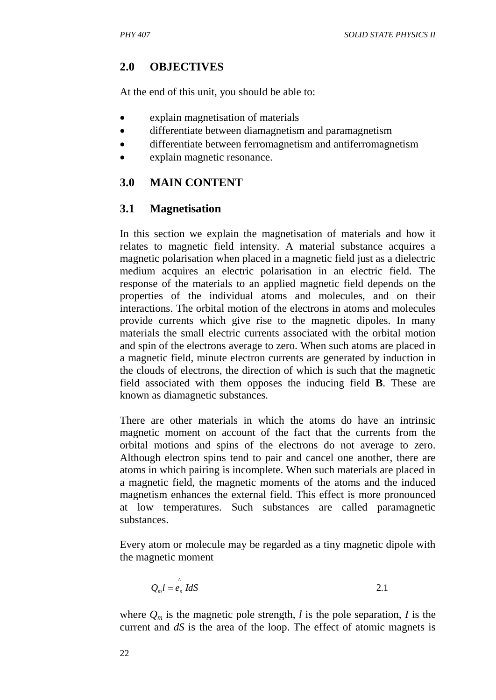## **2.0 OBJECTIVES**

At the end of this unit, you should be able to:

- explain magnetisation of materials
- differentiate between diamagnetism and paramagnetism
- differentiate between ferromagnetism and antiferromagnetism
- x explain magnetic resonance.

# **3.0 MAIN CONTENT**

## **3.1 Magnetisation**

In this section we explain the magnetisation of materials and how it relates to magnetic field intensity. A material substance acquires a magnetic polarisation when placed in a magnetic field just as a dielectric medium acquires an electric polarisation in an electric field. The response of the materials to an applied magnetic field depends on the properties of the individual atoms and molecules, and on their interactions. The orbital motion of the electrons in atoms and molecules provide currents which give rise to the magnetic dipoles. In many materials the small electric currents associated with the orbital motion and spin of the electrons average to zero. When such atoms are placed in a magnetic field, minute electron currents are generated by induction in the clouds of electrons, the direction of which is such that the magnetic field associated with them opposes the inducing field **B**. These are known as diamagnetic substances.

There are other materials in which the atoms do have an intrinsic magnetic moment on account of the fact that the currents from the orbital motions and spins of the electrons do not average to zero. Although electron spins tend to pair and cancel one another, there are atoms in which pairing is incomplete. When such materials are placed in a magnetic field, the magnetic moments of the atoms and the induced magnetism enhances the external field. This effect is more pronounced at low temperatures. Such substances are called paramagnetic substances.

Every atom or molecule may be regarded as a tiny magnetic dipole with the magnetic moment

$$
Q_m l = \hat{e}_n \, IdS \tag{2.1}
$$

where  $Q_m$  is the magnetic pole strength, *l* is the pole separation, *I* is the current and *dS* is the area of the loop. The effect of atomic magnets is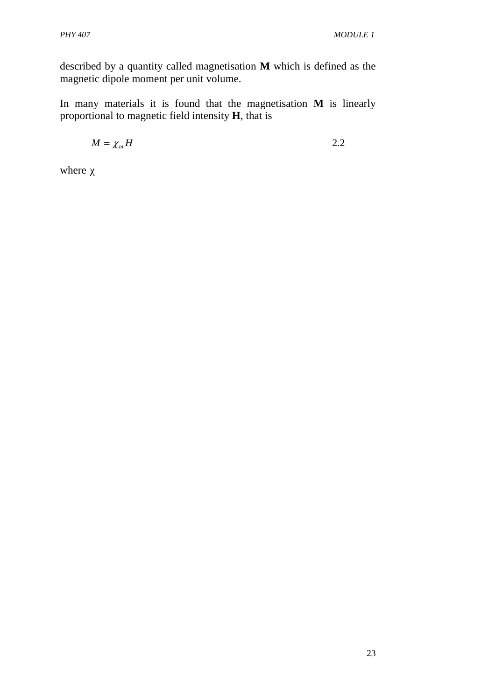described by a quantity called magnetisation **M** which is defined as the magnetic dipole moment per unit volume.

In many materials it is found that the magnetisation **M** is linearly proportional to magnetic field intensity **H**, that is

$$
\overline{M} = \chi_m \overline{H} \tag{2.2}
$$

where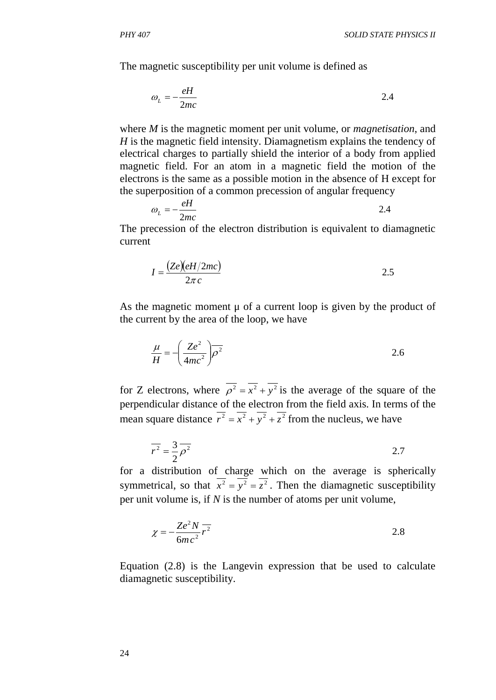The magnetic susceptibility per unit volume is defined as

where *M* is the magnetic moment per unit volume, or *magnetisation*, and *H* is the magnetic field intensity. Diamagnetism explains the tendency of electrical charges to partially shield the interior of a body from applied magnetic field. For an atom in a magnetic field the motion of the electrons is the same as a possible motion in the absence of H except for the superposition of a common precession of angular frequency

$$
\omega_L = -\frac{eH}{2mc} \tag{2.4}
$$

The precession of the electron distribution is equivalent to diamagnetic current

$$
I = \frac{(Ze)(eH/2mc)}{2\pi c}
$$

As the magnetic moment μ of a current loop is given by the product of the current by the area of the loop, we have

$$
\frac{\mu}{H} = -\left(\frac{Ze^2}{4mc^2}\right)\overline{\rho^2}
$$

for Z electrons, where  $\rho^2 = x^2 + y^2$  is the average of the square of the perpendicular distance of the electron from the field axis. In terms of the mean square distance  $r^2 = x^2 + y^2 + z^2$  from the nucleus, we have

$$
\overline{r^2} = \frac{3}{2}\overline{\rho^2}
$$

for a distribution of charge which on the average is spherically symmetrical, so that  $x^2 = y^2 = z^2$ . Then the diamagnetic susceptibility per unit volume is, if *N* is the number of atoms per unit volume,

$$
\chi = -\frac{Ze^2 N}{6mc^2} \overline{r^2}
$$

Equation (2.8) is the Langevin expression that be used to calculate diamagnetic susceptibility.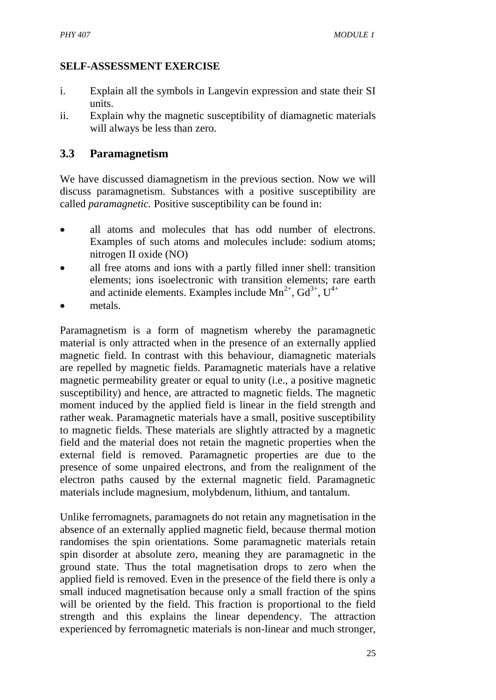## **SELF-ASSESSMENT EXERCISE**

- i. Explain all the symbols in Langevin expression and state their SI units.
- ii. Explain why the [magnetic susceptibility](http://en.wikipedia.org/wiki/Magnetic_susceptibility) of diamagnetic materials will always be less than zero.

## **3.3 Paramagnetism**

We have discussed diamagnetism in the previous section. Now we will discuss paramagnetism. Substances with a positive susceptibility are called *paramagnetic.* Positive susceptibility can be found in:

- all atoms and molecules that has odd number of electrons. Examples of such atoms and molecules include: sodium atoms; nitrogen II oxide (NO)
- all free atoms and ions with a partly filled inner shell: transition elements; ions isoelectronic with transition elements; rare earth and actinide elements. Examples include  $Mn^{2+}$ ,  $Gd^{3+}$ ,  $U^{4+}$
- metals.

Paramagnetism is a form of [magnetism](http://en.wikipedia.org/wiki/Magnetism) whereby the paramagnetic material is only attracted when in the presence of an externally applied [magnetic field.](http://en.wikipedia.org/wiki/Magnetic_field) In contrast with this behaviour, [diamagnetic](http://en.wikipedia.org/wiki/Diamagnetism) materials are repelled by magnetic fields. Paramagnetic materials have a relative [magnetic permeability](http://en.wikipedia.org/wiki/Magnetic_permeability) greater or equal to unity (i.e., a positive [magnetic](http://en.wikipedia.org/wiki/Magnetic_susceptibility)  [susceptibility\)](http://en.wikipedia.org/wiki/Magnetic_susceptibility) and hence, are attracted to magnetic fields. The [magnetic](http://en.wikipedia.org/wiki/Magnetic_moment)  [moment](http://en.wikipedia.org/wiki/Magnetic_moment) induced by the applied field is linear in the field strength and rather weak. Paramagnetic materials have a small, positive susceptibility to magnetic fields. These materials are slightly attracted by a magnetic field and the material does not retain the magnetic properties when the external field is removed. Paramagnetic properties are due to the presence of some unpaired electrons, and from the realignment of the electron paths caused by the external magnetic field. Paramagnetic materials include magnesium, molybdenum, lithium, and tantalum.

Unlike [ferromagnets,](http://en.wikipedia.org/wiki/Ferromagnetism) paramagnets do not retain any magnetisation in the absence of an externally applied magnetic field, because [thermal motion](http://en.wikipedia.org/wiki/Thermal_motion) randomises the spin orientations. Some paramagnetic materials retain spin disorder at [absolute zero,](http://en.wikipedia.org/wiki/Absolute_zero) meaning they are paramagnetic in the [ground state.](http://en.wikipedia.org/wiki/Ground_state) Thus the total magnetisation drops to zero when the applied field is removed. Even in the presence of the field there is only a small induced magnetisation because only a small fraction of the spins will be oriented by the field. This fraction is proportional to the field strength and this explains the linear dependency. The attraction experienced by ferromagnetic materials is non-linear and much stronger,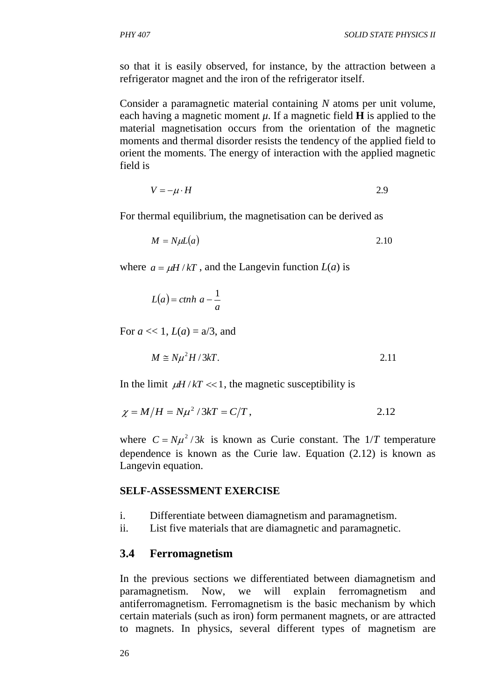so that it is easily observed, for instance, by the attraction between a [refrigerator magnet](http://en.wikipedia.org/wiki/Refrigerator_magnet) and the iron of the refrigerator itself.

Consider a paramagnetic material containing *N* atoms per unit volume, each having a magnetic moment  $\mu$ . If a magnetic field **H** is applied to the material magnetisation occurs from the orientation of the magnetic moments and thermal disorder resists the tendency of the applied field to orient the moments. The energy of interaction with the applied magnetic field is

$$
V = -\mu \cdot H \tag{2.9}
$$

For thermal equilibrium, the magnetisation can be derived as

$$
M = N\mu L(a) \tag{2.10}
$$

where  $a = \mu H / kT$ , and the Langevin function  $L(a)$  is

$$
L(a) = \operatorname{ctnh} \, a - \frac{1}{a}
$$

For  $a \ll 1$ ,  $L(a) = a/3$ , and

$$
M \cong N\mu^2 H / 3kT.
$$
 2.11

In the limit  $\mu H / kT \ll 1$ , the magnetic susceptibility is

$$
\chi = M/H = N\mu^2 / 3kT = C/T, \qquad (2.12)
$$

where  $C = N\mu^2/3k$  is known as Curie constant. The  $1/T$  temperature dependence is known as the Curie law. Equation (2.12) is known as Langevin equation.

#### **SELF-ASSESSMENT EXERCISE**

- i. Differentiate between diamagnetism and paramagnetism.
- ii. List five materials that are diamagnetic and paramagnetic.

#### **3.4 Ferromagnetism**

In the previous sections we differentiated between diamagnetism and paramagnetism. Now, we will explain ferromagnetism and antiferromagnetism. Ferromagnetism is the basic mechanism by which certain materials (such as [iron\)](http://en.wikipedia.org/wiki/Iron) form [permanent magnets,](http://en.wikipedia.org/wiki/Permanent_magnet) or are attracted to [magnets.](http://en.wikipedia.org/wiki/Magnet) In [physics,](http://en.wikipedia.org/wiki/Physics) several different types of [magnetism](http://en.wikipedia.org/wiki/Magnetism) are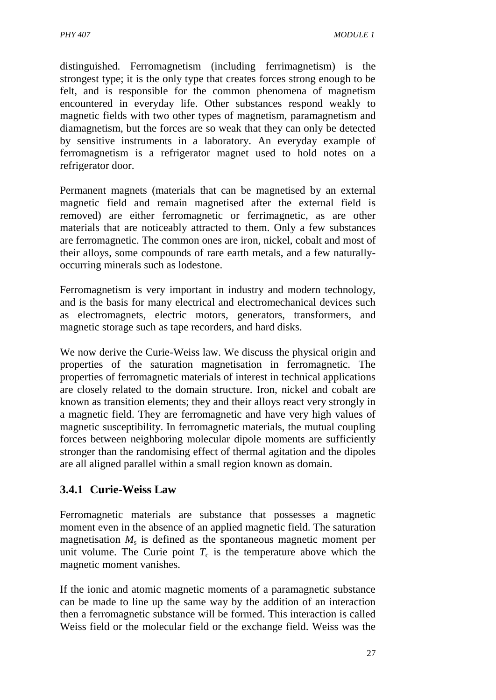distinguished. Ferromagnetism (including [ferrimagnetism\)](http://en.wikipedia.org/wiki/Ferrimagnetism) is the strongest type; it is the only type that creates forces strong enough to be felt, and is responsible for the common phenomena of magnetism [encountered in everyday life.](http://en.wikipedia.org/wiki/Magnet#Common_uses_of_magnets) Other substances respond weakly to magnetic fields with two other types of magnetism, [paramagnetism](http://en.wikipedia.org/wiki/Paramagnetism) and [diamagnetism,](http://en.wikipedia.org/wiki/Diamagnetism) but the forces are so weak that they can only be detected by sensitive instruments in a laboratory. An everyday example of ferromagnetism is a [refrigerator magnet](http://en.wikipedia.org/wiki/Refrigerator_magnet) used to hold notes on a refrigerator door.

Permanent magnets (materials that can be [magnetised](http://en.wikipedia.org/wiki/Magnetization) by an external [magnetic field](http://en.wikipedia.org/wiki/Magnetic_field) and remain magnetised after the external field is removed) are either ferromagnetic or ferrimagnetic, as are other materials that are noticeably attracted to them. Only a few substances are ferromagnetic. The common ones are [iron,](http://en.wikipedia.org/wiki/Iron) [nickel,](http://en.wikipedia.org/wiki/Nickel) [cobalt](http://en.wikipedia.org/wiki/Cobalt) and most of their alloys, some compounds of [rare earth metals,](http://en.wikipedia.org/wiki/Rare_earth_magnet) and a few naturallyoccurring minerals such as [lodestone.](http://en.wikipedia.org/wiki/Lodestone)

Ferromagnetism is very important in industry and modern technology, and is the basis for many electrical and electromechanical devices such as [electromagnets,](http://en.wikipedia.org/wiki/Electromagnet) [electric motors,](http://en.wikipedia.org/wiki/Electric_motor) [generators,](http://en.wikipedia.org/wiki/Electric_generator) [transformers,](http://en.wikipedia.org/wiki/Transformer) and [magnetic storage](http://en.wikipedia.org/wiki/Magnetic_storage) such as [tape recorders,](http://en.wikipedia.org/wiki/Tape_recorder) and [hard disks.](http://en.wikipedia.org/wiki/Hard_disk)

We now derive the Curie-Weiss law. We discuss the physical origin and properties of the saturation magnetisation in ferromagnetic. The properties of ferromagnetic materials of interest in technical applications are closely related to the domain structure. Iron, nickel and cobalt are known as transition elements; they and their alloys react very strongly in a magnetic field. They are ferromagnetic and have very high values of magnetic susceptibility. In ferromagnetic materials, the mutual coupling forces between neighboring molecular dipole moments are sufficiently stronger than the randomising effect of thermal agitation and the dipoles are all aligned parallel within a small region known as domain.

# **3.4.1 Curie-Weiss Law**

Ferromagnetic materials are substance that possesses a magnetic moment even in the absence of an applied magnetic field. The saturation magnetisation  $M<sub>s</sub>$  is defined as the spontaneous magnetic moment per unit volume. The Curie point  $T_c$  is the temperature above which the magnetic moment vanishes.

If the ionic and atomic magnetic moments of a paramagnetic substance can be made to line up the same way by the addition of an interaction then a ferromagnetic substance will be formed. This interaction is called Weiss field or the molecular field or the exchange field. Weiss was the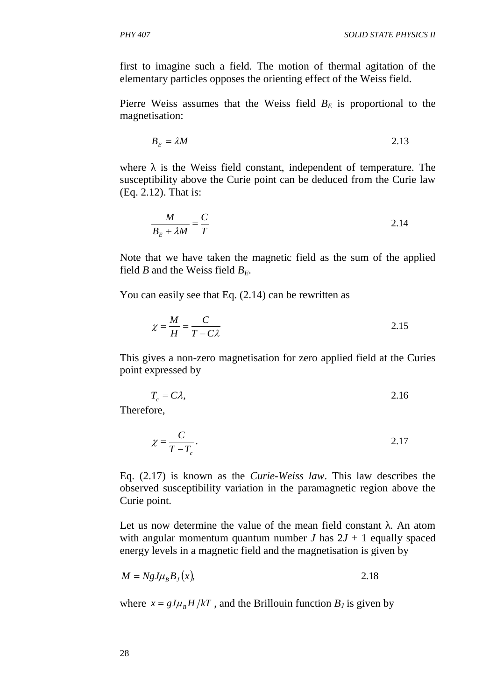first to imagine such a field. The motion of thermal agitation of the elementary particles opposes the orienting effect of the Weiss field.

Pierre Weiss assumes that the Weiss field  $B<sub>E</sub>$  is proportional to the magnetisation:

$$
B_E = \lambda M \tag{2.13}
$$

where is the Weiss field constant, independent of temperature. The susceptibility above the Curie point can be deduced from the Curie law (Eq. 2.12). That is:

$$
\frac{M}{B_E + \lambda M} = \frac{C}{T}
$$

Note that we have taken the magnetic field as the sum of the applied field *B* and the Weiss field  $B_F$ .

You can easily see that Eq.  $(2.14)$  can be rewritten as

$$
\chi = \frac{M}{H} = \frac{C}{T - C\lambda}
$$

This gives a non-zero magnetisation for zero applied field at the Curies point expressed by

$$
T_c = C\lambda, \tag{2.16}
$$

Therefore,

$$
\chi = \frac{C}{T - T_c}.
$$

Eq. (2.17) is known as the *Curie*-*Weiss law*. This law describes the observed susceptibility variation in the paramagnetic region above the Curie point.

Let us now determine the value of the mean field constant . An atom with angular momentum quantum number *J* has  $2J + 1$  equally spaced energy levels in a magnetic field and the magnetisation is given by

$$
M = NgJ\mu_B B_J(x), \tag{2.18}
$$

where  $x = gJ\mu_B H/kT$ , and the Brillouin function  $B_J$  is given by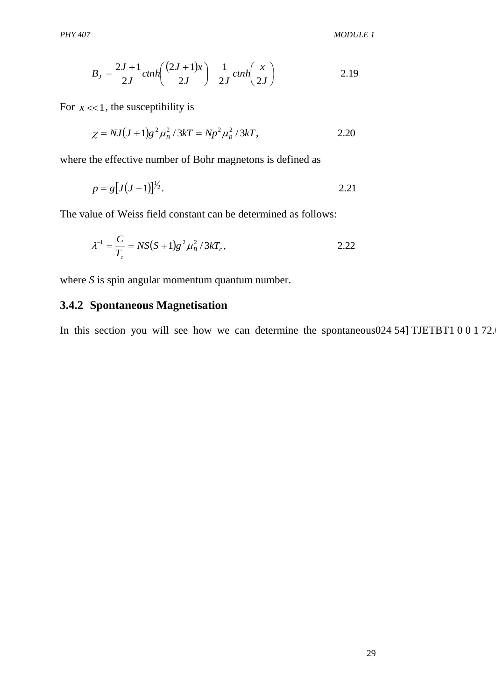$$
B_J = \frac{2J+1}{2J} \text{c}tnh\left(\frac{(2J+1)x}{2J}\right) - \frac{1}{2J} \text{c}tnh\left(\frac{x}{2J}\right)
$$
\n
$$
\approx 1, \text{ the susceptibility is}
$$
\n
$$
\chi = NJ(J+1)g^2 \mu_B^2 / 3kT = Np^2 \mu_B^2 / 3kT,
$$
\n
$$
2.20
$$
\nthe effective number of Bohr magnetons is defined as

\n
$$
p = g[J(J+1)]^{1/2}.
$$
\n2.21

\ndue of Weiss field constant can be determined as follows:

\n
$$
\lambda^{-1} = \frac{C}{T_c} = NS(S+1)g^2 \mu_B^2 / 3kT_c,
$$
\n
$$
\lambda^{-1} = \frac{C}{T_c} = NS(S+1)g^2 \mu_B^2 / 3kT_c,
$$
\n2.22

\nSi spin angular momentum quantum number.

\nSpondaneous Magnetisation

\nsection you will see how we can determine the spontaneous

For  $x \ll 1$ , the susceptibility is

$$
\chi = NJ(J+1)g^2\mu_B^2/3kT = Np^2\mu_B^2/3kT,
$$

where the effective number of Bohr magnetons is defined as

$$
p = g\big[J(J+1)\big]^{1/2}.
$$

The value of Weiss field constant can be determined as follows:

$$
\lambda^{-1} = \frac{C}{T_c} = NS(S+1)g^2 \mu_B^2 / 3kT_c, \qquad (2.22)
$$

where *S* is spin angular momentum quantum number.

## **3.4.2 Spontaneous Magnetisation**

In this section you will see how we can determine the spontaneous 024 54] TJETBT1 0 0 1 72.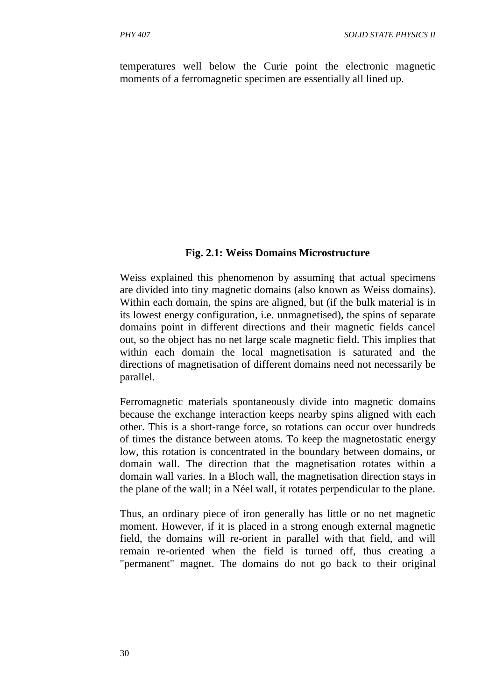temperatures well below the Curie point the electronic magnetic moments of a ferromagnetic specimen are essentially all lined up.

#### **Fig. 2.1: Weiss Domains Microstructure**

Weiss explained this phenomenon by assuming that actual specimens are divided into tiny [magnetic domains](http://en.wikipedia.org/wiki/Magnetic_domains) (also known as Weiss domains). Within each domain, the spins are aligned, but (if the bulk material is in its lowest energy configuration, i.e. unmagnetised), the spins of separate domains point in different directions and their magnetic fields cancel out, so the object has no net large scale magnetic field. This implies that within each domain the local magnetisation is saturated and the directions of magnetisation of different domains need not necessarily be parallel.

Ferromagnetic materials spontaneously divide into magnetic domains because the [exchange interaction](http://en.wikipedia.org/wiki/Exchange_interaction) keeps nearby spins aligned with each other. This is a short-range force, so rotations can occur over hundreds of times the distance between atoms. To keep the [magnetostatic](http://en.wikipedia.org/wiki/Magnetostatics) energy low, this rotation is concentrated in the boundary between domains, or [domain wall.](http://en.wikipedia.org/wiki/Domain_wall) The direction that the magnetisation rotates within a domain wall varies. In a [Bloch wall,](http://en.wikipedia.org/wiki/Bloch_wall) the magnetisation direction stays in the plane of the wall; in a [Néel wall,](http://en.wikipedia.org/wiki/N%C3%A9el_wall) it rotates perpendicular to the plane.

Thus, an ordinary piece of iron generally has little or no net magnetic moment. However, if it is placed in a strong enough external magnetic field, the domains will re-orient in parallel with that field, and will remain re-oriented when the field is turned off, thus creating a "permanent" magnet. The domains do not go back to their original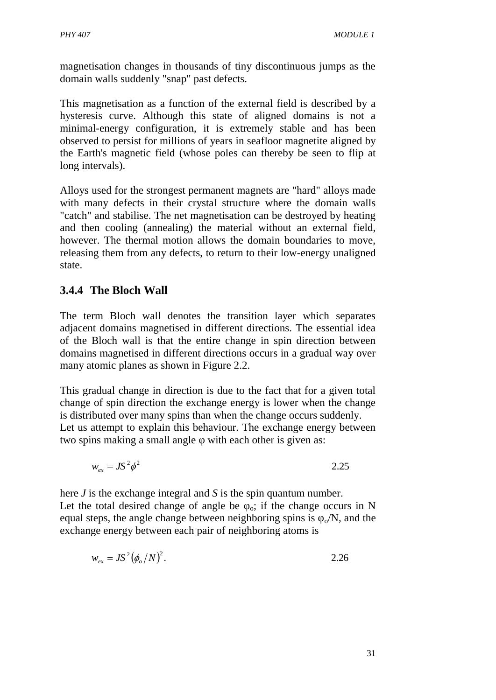magnetisation changes in thousands of tiny discontinuous jumps as the domain walls suddenly "snap" past defects.

This magnetisation as a function of the external field is described by a [hysteresis curve.](http://en.wikipedia.org/wiki/Hysteresis_loop) Although this state of aligned domains is not a minimal-energy configuration, it is extremely stable and has been observed to [persist for millions of years](http://en.wikipedia.org/wiki/Paleomagnetism) in seafloor [magnetite](http://en.wikipedia.org/wiki/Magnetite) aligned by the [Earth's magnetic field](http://en.wikipedia.org/wiki/Earth%27s_magnetic_field) (whose poles can thereby be seen to [flip at](http://en.wikipedia.org/wiki/Geomagnetic_reversal)  [long intervals\)](http://en.wikipedia.org/wiki/Geomagnetic_reversal).

Alloys used for the strongest permanent magnets are "hard" alloys made with many defects in their crystal structure where the domain walls "catch" and stabilise. The net magnetisation can be destroyed by heating and then cooling [\(annealing\)](http://en.wikipedia.org/wiki/Annealing_%28metallurgy%29) the material without an external field, however. The thermal motion allows the domain boundaries to move, releasing them from any defects, to return to their low-energy unaligned state.

# **3.4.4 The Bloch Wall**

The term Bloch wall denotes the transition layer which separates adjacent domains magnetised in different directions. The essential idea of the Bloch wall is that the entire change in spin direction between domains magnetised in different directions occurs in a gradual way over many atomic planes as shown in Figure 2.2.

This gradual change in direction is due to the fact that for a given total change of spin direction the exchange energy is lower when the change is distributed over many spins than when the change occurs suddenly. Let us attempt to explain this behaviour. The exchange energy between two spins making a small angle with each other is given as:

$$
w_{ex} = JS^2 \phi^2 \tag{2.25}
$$

here *J* is the exchange integral and *S* is the spin quantum number. Let the total desired change of angle be  $\alpha$ ; if the change occurs in N equal steps, the angle change between neighboring spins is  $\phi/N$ , and the exchange energy between each pair of neighboring atoms is

$$
w_{ex} = JS^2 \left( \phi_o / N \right)^2. \tag{2.26}
$$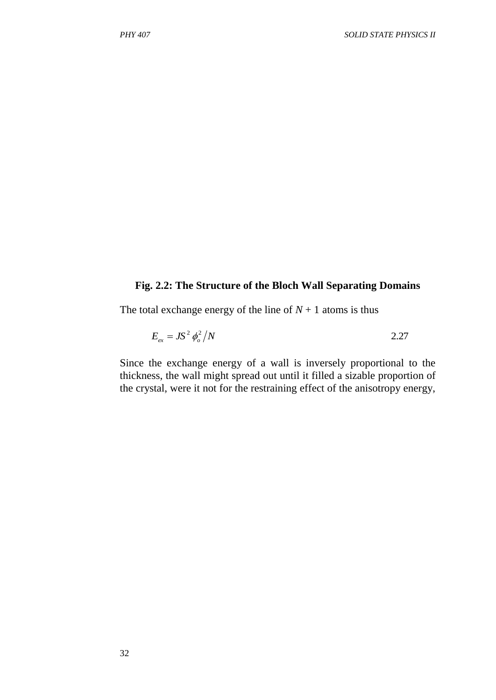#### **Fig. 2.2: The Structure of the Bloch Wall Separating Domains**

The total exchange energy of the line of  $N + 1$  atoms is thus

$$
E_{ex} = JS^2 \phi_o^2 / N \tag{2.27}
$$

Since the exchange energy of a wall is inversely proportional to the thickness, the wall might spread out until it filled a sizable proportion of the crystal, were it not for the restraining effect of the anisotropy energy,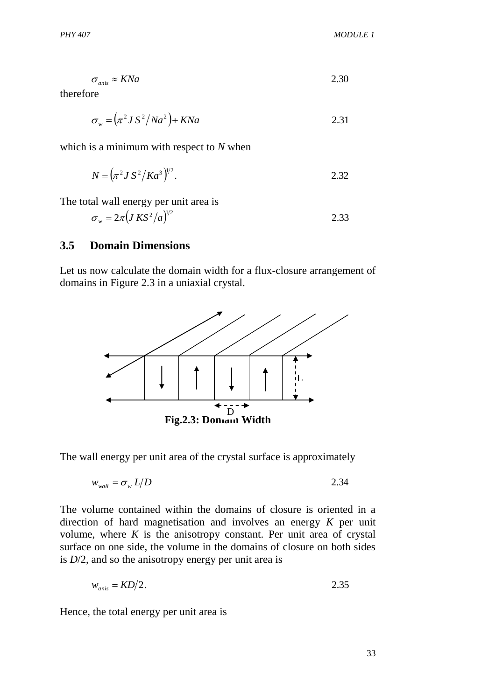$\sigma_{\text{anis}} \approx KNa$  2.30

therefore

$$
\sigma_w = \left(\pi^2 J S^2 / N a^2\right) + K N a \tag{2.31}
$$

which is a minimum with respect to *N* when

$$
N = \left(\pi^2 J S^2 / K a^3\right)^{1/2}.
$$
 2.32

The total wall energy per unit area is

$$
\sigma_w = 2\pi \left( J \, K S^2 / a \right)^{1/2} \tag{2.33}
$$

#### **3.5 Domain Dimensions**

Let us now calculate the domain width for a flux-closure arrangement of domains in Figure 2.3 in a uniaxial crystal.



The wall energy per unit area of the crystal surface is approximately

$$
w_{\text{wall}} = \sigma_{\text{w}} L/D \tag{2.34}
$$

The volume contained within the domains of closure is oriented in a direction of hard magnetisation and involves an energy *K* per unit volume, where  $K$  is the anisotropy constant. Per unit area of crystal surface on one side, the volume in the domains of closure on both sides is *D*/2, and so the anisotropy energy per unit area is

$$
w_{anis} = KD/2.
$$

Hence, the total energy per unit area is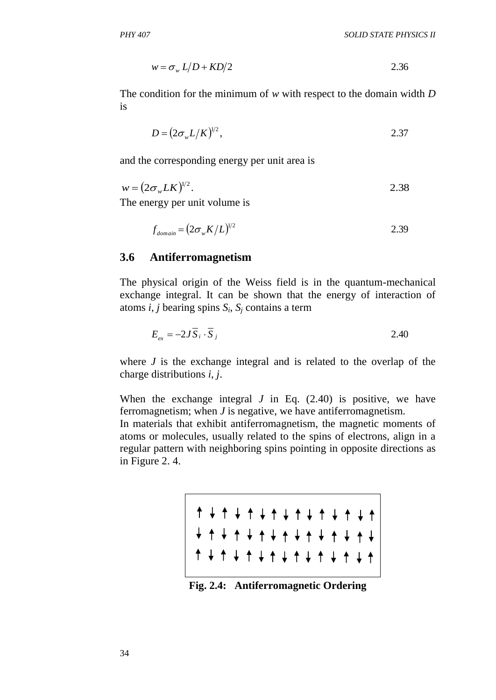$$
w = \sigma_w L/D + KD/2 \tag{2.36}
$$

The condition for the minimum of *w* with respect to the domain width *D* is

$$
D = \left(2\sigma_w L/K\right)^{1/2},\tag{2.37}
$$

and the corresponding energy per unit area is

$$
w = (2\sigma_w L K)^{1/2}.
$$

The energy per unit volume is

$$
f_{domain} = (2\sigma_w K/L)^{1/2} \tag{2.39}
$$

#### **3.6 Antiferromagnetism**

The physical origin of the Weiss field is in the quantum-mechanical exchange integral. It can be shown that the energy of interaction of atoms *i*, *j* bearing spins *S<sup>i</sup>* , *S<sup>j</sup>* contains a term

$$
E_{ex} = -2J\overline{S}_i \cdot \overline{S}_j \tag{2.40}
$$

where *J* is the exchange integral and is related to the overlap of the charge distributions *i*, *j*.

When the exchange integral  $J$  in Eq.  $(2.40)$  is positive, we have ferromagnetism; when *J* is negative, we have antiferromagnetism.

In materials that exhibit antiferromagnetism, the magnetic moments of atoms or molecules, usually related to the spins of electrons, align in a regular pattern with neighboring spins pointing in opposite directions as in Figure 2. 4.

|  |  |  |  |  |  | + + + + + + + + + + + + + + |  |  |
|--|--|--|--|--|--|-----------------------------|--|--|
|  |  |  |  |  |  |                             |  |  |

**Fig. 2.4: Antiferromagnetic Ordering**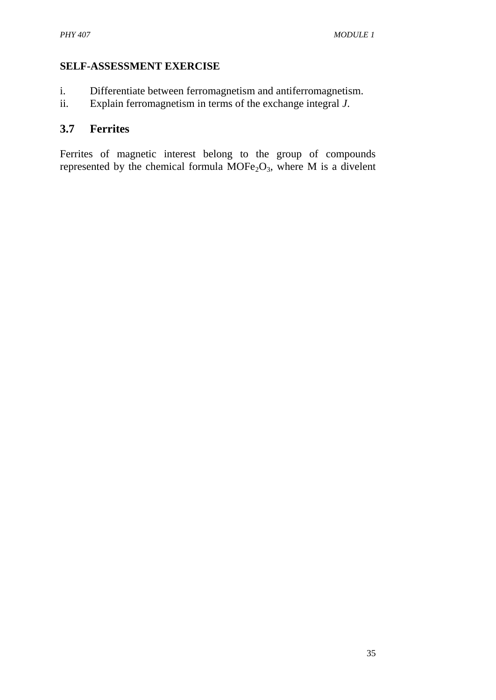## **SELF-ASSESSMENT EXERCISE**

- i. Differentiate between ferromagnetism and antiferromagnetism.
- ii. Explain ferromagnetism in terms of the exchange integral *J*.

# **3.7 Ferrites**

Ferrites of magnetic interest belong to the group of compounds represented by the chemical formula  $MOFe<sub>2</sub>O<sub>3</sub>$ , where M is a divelent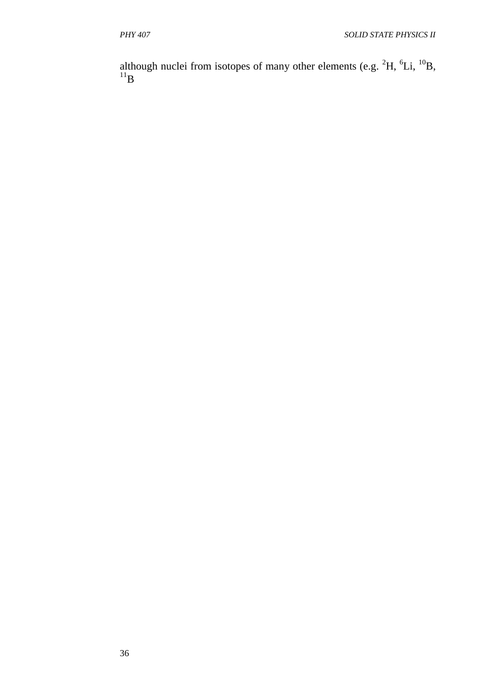although nuclei from isotopes of many other elements (e.g.  ${}^{2}H$ ,  ${}^{6}Li$ ,  ${}^{10}B$ ,  $^{11}$ [B](http://en.wikipedia.org/wiki/Boron-11)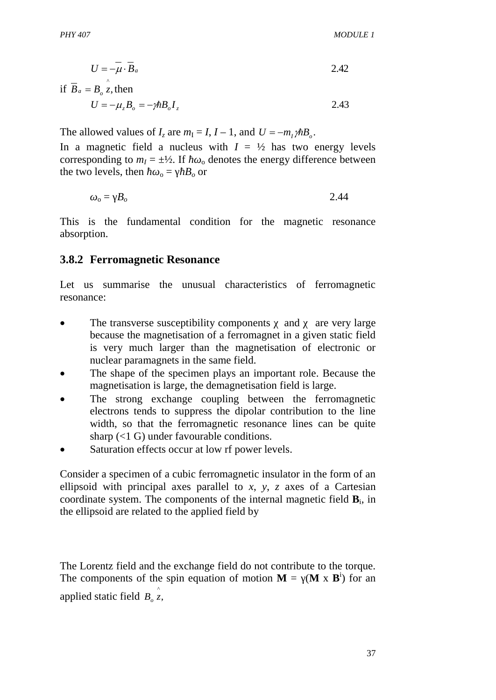$$
U = -\mu \cdot \overline{B}_a \tag{2.42}
$$

if  $\overline{B}_a = B_o \hat{z}$ , then

$$
U = -\mu_z B_o = -\gamma \hbar B_o I_z
$$

The allowed values of  $I_z$  are  $m_I = I$ ,  $I - 1$ , and  $U = -m_I \gamma \hbar B_o$ .

In a magnetic field a nucleus with  $I = \frac{1}{2}$  has two energy levels corresponding to  $m<sub>I</sub> = \pm \frac{1}{2}$ . If  $\theta$  denotes the energy difference between the two levels, then  $\delta = B_0$  or

$$
_{o} = B_{o} \tag{2.44}
$$

This is the fundamental condition for the magnetic resonance absorption.

#### **3.8.2 Ferromagnetic Resonance**

Let us summarise the unusual characteristics of ferromagnetic resonance:

- The transverse susceptibility components and are very large because the magnetisation of a ferromagnet in a given static field is very much larger than the magnetisation of electronic or nuclear paramagnets in the same field.
- The shape of the specimen plays an important role. Because the magnetisation is large, the demagnetisation field is large.
- The strong exchange coupling between the ferromagnetic electrons tends to suppress the dipolar contribution to the line width, so that the ferromagnetic resonance lines can be quite sharp  $($  1 G) under favourable conditions.
- Saturation effects occur at low rf power levels.

Consider a specimen of a cubic ferromagnetic insulator in the form of an ellipsoid with principal axes parallel to *x*, *y*, *z* axes of a Cartesian coordinate system. The components of the internal magnetic field  $\mathbf{B}_i$ , in the ellipsoid are related to the applied field by

The Lorentz field and the exchange field do not contribute to the torque. The components of the spin equation of motion  $M = (M \times B^1)$  for an applied static field  $B_o \hat{z}$ ,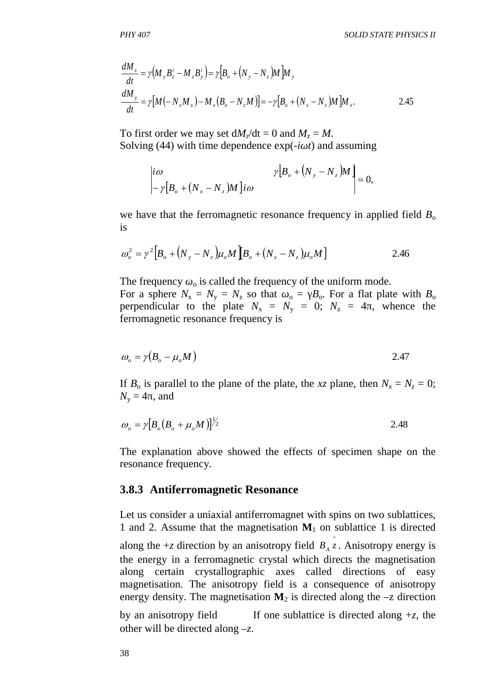$$
\frac{dM_x}{dt} = \gamma \Big( M_y B_z^i - M_z B_y^i \Big) = \gamma \Big[ B_o + \Big( N_y - N_z \Big) M \Big] M_y
$$
\n
$$
\frac{dM_y}{dt} = \gamma \Big[ M \Big( - N_x M_x \Big) - M_x \Big( B_o - N_z M \Big) \Big] = -\gamma \Big[ B_o + \Big( N_x - N_z \Big) M \Big] M_x.
$$
\n2.45

To first order we may set  $dM_z/dt = 0$  and  $M_z = M$ . Solving (44) with time dependence  $exp(-i\tau t)$  and assuming

$$
\begin{vmatrix} i\omega & \gamma \big[ B_o + \big(N_y - N_z\big)M \big]_{i\omega} \\ -\gamma \big[ B_o + \big(N_x - N_z\big)M \big]_{i\omega} \end{vmatrix} = 0,
$$

we have that the ferromagnetic resonance frequency in applied field  $B_0$ is

$$
\omega_o^2 = \gamma^2 \Big[ B_o + \Big( N_y - N_z \Big) \mu_o M \Big[ B_o + \Big( N_x - N_z \Big) \mu_o M \Big] \tag{2.46}
$$

The frequency  $\sigma_0$  is called the frequency of the uniform mode. For a sphere  $N_x = N_y = N_z$  so that  $\sigma = B_0$ . For a flat plate with  $B_0$ perpendicular to the plate  $N_x = N_y = 0$ ;  $N_z = 4$ , whence the ferromagnetic resonance frequency is

$$
\omega_o = \gamma (B_o - \mu_o M) \tag{2.47}
$$

If  $B_0$  is parallel to the plane of the plate, the *xz* plane, then  $N_x = N_z = 0$ ;  $N_v = 4$ , and

$$
\omega_o = \gamma \big[ B_o \big( B_o + \mu_o M \big) \big]^{1/2} \tag{2.48}
$$

The explanation above showed the effects of specimen shape on the resonance frequency.

#### **3.8.3 Antiferromagnetic Resonance**

Let us consider a uniaxial antiferromagnet with spins on two sublattices, 1 and 2. Assume that the magnetisation  $M_1$  on sublattice 1 is directed

 $\frac{3a_{d}}{dt} = r(M, B'_c - M, B'_s) = r[B_o + (N_g - N_g)M]b$ <br>  $\frac{dM_s}{dt} = r[M(-N_sM_s) - M_s(B_o - N_sM)] = -r[B_s$ <br>
To first order we may set  $dM_s/dt = 0$  and<br>
Solving (44) with time dependence exercing<br>  $\begin{vmatrix}\ni\omega & r[B_o + (N_s - N_s)M]i\omega & r[B_o + (N_s - N_s)M]i\omega & r[B_o + (N_s - N$ along the  $+z$  direction by an anisotropy field  $B_A \hat{z}$ . Anisotropy energy is the energy in a ferromagnetic crystal which directs the magnetisation along certain crystallographic axes called directions of easy magnetisation. The anisotropy field is a consequence of anisotropy energy density. The magnetisation  $M_2$  is directed along the  $-z$  direction

by an anisotropy field If one sublattice is directed along  $+z$ , the other will be directed along –*z*.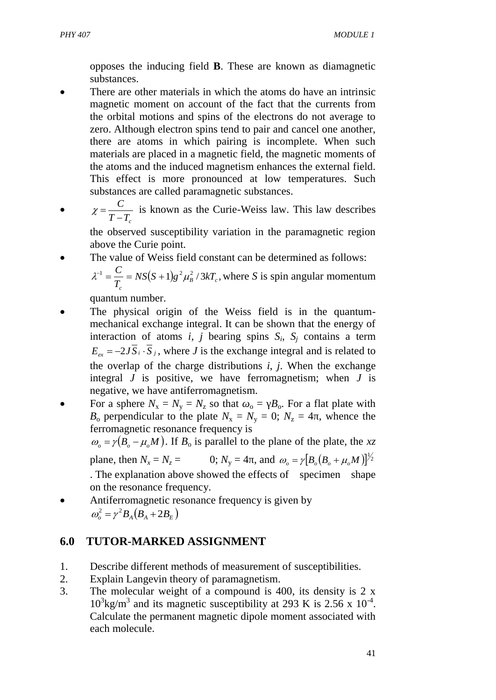We have set  $M_1^z = M; M_2^z = -M$ . If we can define  $M_1^+ = M_1^x + iM_1^y$ ;  $M_2^+ = M_2^x + iM_2^y$ , then (2.50) and (2.51) become

$$
-i\omega M_1^+ = -i\gamma \Big[M_1^+(B_A + \lambda M) + M_2^+(\lambda M)\Big] -i\omega M_2^+ = i\gamma \Big[M_2^+(B_A + \lambda M) + M_1^+(\lambda M)\Big]
$$

These equations have a solution if, with exchange field  $B_E$   $M$ ,

$$
\begin{vmatrix} \gamma (B_A + B_E) - \omega & \gamma B_E \\ \gamma B_E & \gamma (B_A + B_E) + \omega \end{vmatrix} = 0.
$$

Thus, the antiferromagnetic resonance frequency is given by

$$
\omega_o^2 = \gamma^2 B_A (B_A + 2B_E) \tag{2.52}
$$

#### **SELF-ASSESSMENT EXERCISE**

Explain nuclear magnetic resonance.

#### **4.0 CONCLUSION**

You have seen the basic idea of magnetisation of materials in this unit. The differences between diamagnetism and paramagnetism have been highlighted to you and you should be able to differentiate between ferromagnetism and antiferromagnetism. We concluded this unit with explanation on magnetic resonance.

### **5.0 SUMMARY**

• A material substance acquires a magnetic polarisation when placed in a magnetic field just as a dielectric medium acquires an electric polarisation in an electric field. The response of the materials to an applied magnetic field depends on the properties of the individual atoms and molecules, and on their interactions. The orbital motion of the electrons in atoms and molecules provide currents which give rise to the magnetic dipoles. In many materials the small electric currents associated with the orbital motion and spin of the electrons average to zero. When such atoms are placed in a magnetic field, minute electron currents are generated by induction in the clouds of electrons, the direction of which is such that the magnetic field associated with them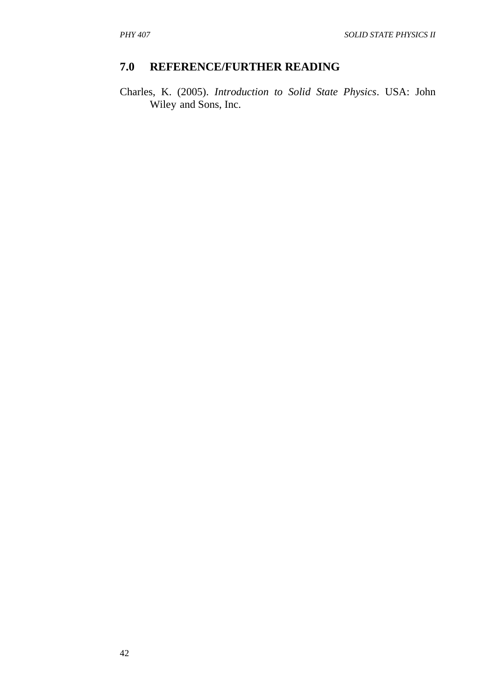opposes the inducing field **B**. These are known as diamagnetic substances.

- There are other materials in which the atoms do have an intrinsic magnetic moment on account of the fact that the currents from the orbital motions and spins of the electrons do not average to zero. Although electron spins tend to pair and cancel one another, there are atoms in which pairing is incomplete. When such materials are placed in a magnetic field, the magnetic moments of the atoms and the induced magnetism enhances the external field. This effect is more pronounced at low temperatures. Such substances are called paramagnetic substances.
- $\bullet$  $T - T_c$ *C* - $\chi = \frac{C}{\pi G}$  is known as the Curie-Weiss law. This law describes the observed susceptibility variation in the paramagnetic region

above the Curie point.

The value of Weiss field constant can be determined as follows:

$$
\lambda^{-1} = \frac{C}{T_c} = NS(S+1)g^2 \mu_B^2 / 3kT_c
$$
, where *S* is spin angular momentum

quantum number.

- The physical origin of the Weiss field is in the quantummechanical exchange integral. It can be shown that the energy of interaction of atoms *i*, *j* bearing spins  $S_i$ ,  $S_j$  contains a term  $E_{ex} = -2JS_i \cdot S_j$ , where *J* is the exchange integral and is related to the overlap of the charge distributions *i*, *j*. When the exchange integral *J* is positive, we have ferromagnetism; when *J* is negative, we have antiferromagnetism.
- For a sphere  $N_x = N_y = N_z$  so that  $\delta_0 = B_0$ . For a flat plate with  $B_0$  perpendicular to the plate  $N_x = N_y = 0$ ;  $N_z = 4$ , whence the ferromagnetic resonance frequency is

 $\omega_{0} = \gamma (B_{0} - \mu_{0} M)$ . If  $B_{0}$  is parallel to the plane of the plate, the *xz* plane, then  $N_x = N_z =$  0;  $N_y = 4$ , and  $\omega_o = \gamma [B_o (B_o + \mu_o M)]^{1/2}$  $\omega_o = \gamma \left[ B_o \left( B_o + \mu_o M \right) \right]$ . The explanation above showed the effects of specimen shape on the resonance frequency.

Antiferromagnetic resonance frequency is given by  $\omega_o^2 = \gamma^2 B_A (B_A + 2B_E)$ 

# **6.0 TUTOR-MARKED ASSIGNMENT**

- 1. Describe different methods of measurement of susceptibilities.
- 2. Explain Langevin theory of paramagnetism.
- 3. The molecular weight of a compound is 400, its density is 2 x  $10^3$ kg/m<sup>3</sup> and its magnetic susceptibility at 293 K is 2.56 x  $10^{-4}$ . Calculate the permanent magnetic dipole moment associated with each molecule.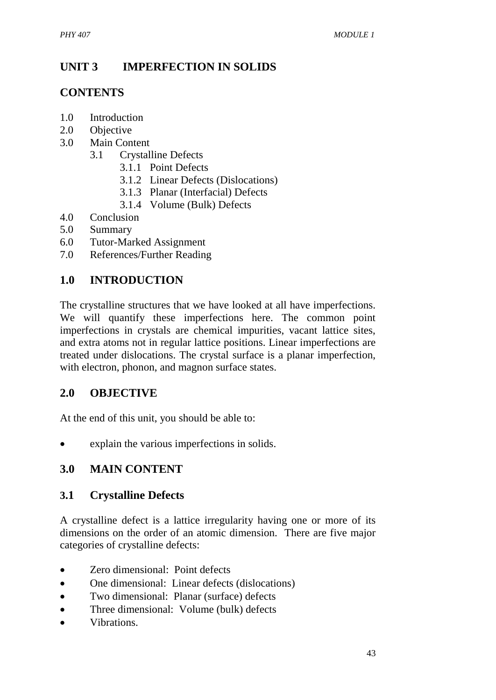## **7.0 REFERENCE/FURTHER READING**

Charles, K. (2005). *Introduction to Solid State Physics*. USA: John Wiley and Sons, Inc.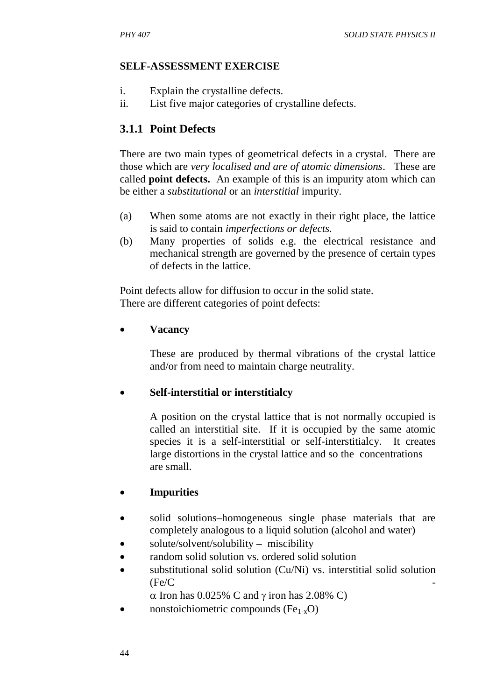# **UNIT 3 IMPERFECTION IN SOLIDS**

# **CONTENTS**

- 1.0 Introduction
- 2.0 Objective
- 3.0 Main Content
	- 3.1 Crystalline Defects
		- 3.1.1 Point Defects
		- 3.1.2 Linear Defects (Dislocations)
		- 3.1.3 Planar (Interfacial) Defects
		- 3.1.4 Volume (Bulk) Defects
- 4.0 Conclusion
- 5.0 Summary
- 6.0 Tutor-Marked Assignment
- 7.0 References/Further Reading

## **1.0 INTRODUCTION**

The crystalline structures that we have looked at all have imperfections. We will quantify these imperfections here. The common point imperfections in crystals are chemical impurities, vacant lattice sites, and extra atoms not in regular lattice positions. Linear imperfections are treated under dislocations. The crystal surface is a planar imperfection, with electron, phonon, and magnon surface states.

## **2.0 OBJECTIVE**

At the end of this unit, you should be able to:

• explain the various imperfections in solids.

## **3.0 MAIN CONTENT**

### **3.1 Crystalline Defects**

A crystalline defect is a lattice irregularity having one or more of its dimensions on the order of an atomic dimension. There are five major categories of crystalline defects:

- Zero dimensional: Point defects
- One dimensional: Linear defects (dislocations)
- Two dimensional: Planar (surface) defects
- Three dimensional: Volume (bulk) defects
- x Vibrations.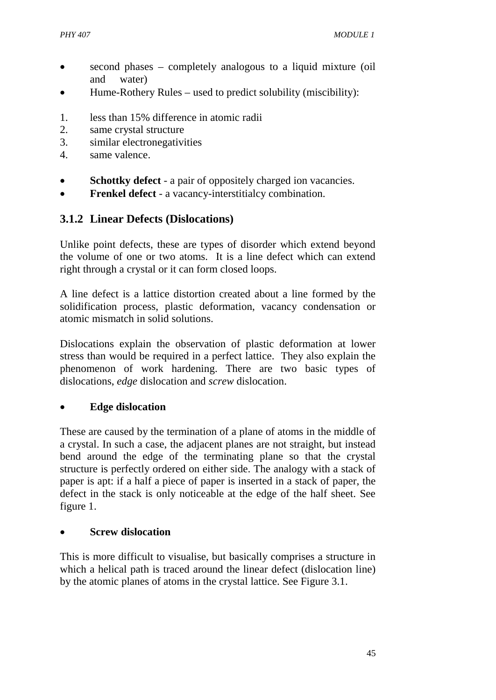### **SELF-ASSESSMENT EXERCISE**

- i. Explain the crystalline defects.
- ii. List five major categories of crystalline defects.

## **3.1.1 Point Defects**

There are two main types of geometrical defects in a crystal. There are those which are *very localised and are of atomic dimensions*. These are called **point defects.** An example of this is an impurity atom which can be either a *substitutional* or an *interstitial* impurity.

- (a) When some atoms are not exactly in their right place, the lattice is said to contain *imperfections or defects.*
- (b) Many properties of solids e.g. the electrical resistance and mechanical strength are governed by the presence of certain types of defects in the lattice.

Point defects allow for diffusion to occur in the solid state. There are different categories of point defects:

x **Vacancy**

These are produced by thermal vibrations of the crystal lattice and/or from need to maintain charge neutrality.

### x **Self-interstitial or interstitialcy**

A position on the crystal lattice that is not normally occupied is called an interstitial site. If it is occupied by the same atomic species it is a self-interstitial or self-interstitialcy. It creates large distortions in the crystal lattice and so the concentrations are small.

### x **Impurities**

- solid solutions–homogeneous single phase materials that are completely analogous to a liquid solution (alcohol and water)
- solute/solvent/solubility miscibility
- random solid solution vs. ordered solid solution
- substitutional solid solution (Cu/Ni) vs. interstitial solid solution  $(Fe/C)$ 
	- $\alpha$  Iron has 0.025% C and  $\gamma$  iron has 2.08% C)
- nonstoichiometric compounds ( $Fe<sub>1-x</sub>O$ )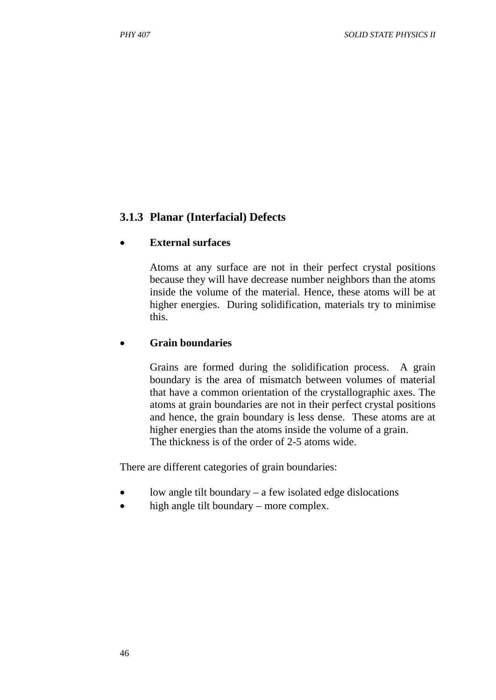- second phases completely analogous to a liquid mixture (oil and water)
- $\bullet$  Hume-Rothery Rules used to predict solubility (miscibility):
- 1. less than 15% difference in atomic radii
- 2. same crystal structure
- 3. similar electronegativities
- 4. same valence.
- **Schottky defect** a pair of oppositely charged ion vacancies.
- **• Frenkel defect** a vacancy-interstitialcy combination.

## **3.1.2 Linear Defects (Dislocations)**

Unlike point defects, these are types of disorder which extend beyond the volume of one or two atoms. It is a line defect which can extend right through a crystal or it can form closed loops.

A line defect is a lattice distortion created about a line formed by the solidification process, plastic deformation, vacancy condensation or atomic mismatch in solid solutions.

Dislocations explain the observation of plastic deformation at lower stress than would be required in a perfect lattice. They also explain the phenomenon of work hardening. There are two basic types of dislocations, *edge* dislocation and *screw* dislocation.

## x **Edge dislocation**

These are caused by the termination of a plane of atoms in the middle of a crystal. In such a case, the adjacent planes are not straight, but instead bend around the edge of the terminating plane so that the crystal structure is perfectly ordered on either side. The analogy with a stack of paper is apt: if a half a piece of paper is inserted in a stack of paper, the defect in the stack is only noticeable at the edge of the half sheet. See figure 1.

### x **Screw dislocation**

This is more difficult to visualise, but basically comprises a structure in which a helical path is traced around the linear defect (dislocation line) by the atomic planes of atoms in the crystal lattice. See Figure 3.1.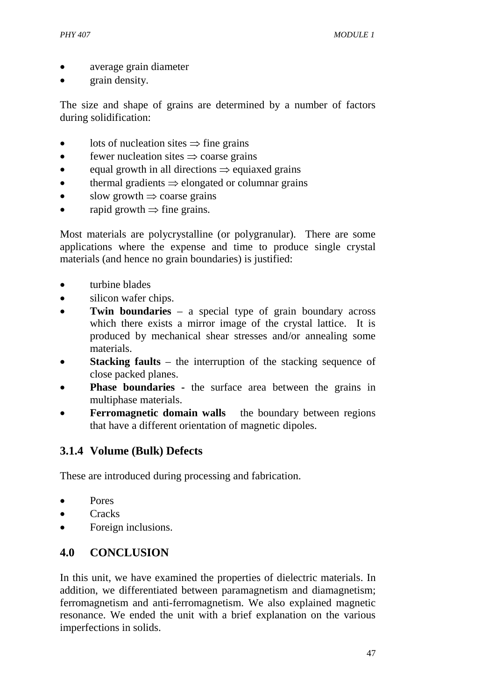## **3.1.3 Planar (Interfacial) Defects**

#### x **External surfaces**

Atoms at any surface are not in their perfect crystal positions because they will have decrease number neighbors than the atoms inside the volume of the material. Hence, these atoms will be at higher energies. During solidification, materials try to minimise this.

#### x **Grain boundaries**

Grains are formed during the solidification process. A grain boundary is the area of mismatch between volumes of material that have a common orientation of the crystallographic axes. The atoms at grain boundaries are not in their perfect crystal positions and hence, the grain boundary is less dense. These atoms are at higher energies than the atoms inside the volume of a grain. The thickness is of the order of 2-5 atoms wide.

There are different categories of grain boundaries:

- $\bullet$  low angle tilt boundary a few isolated edge dislocations
- $\bullet$  high angle tilt boundary more complex.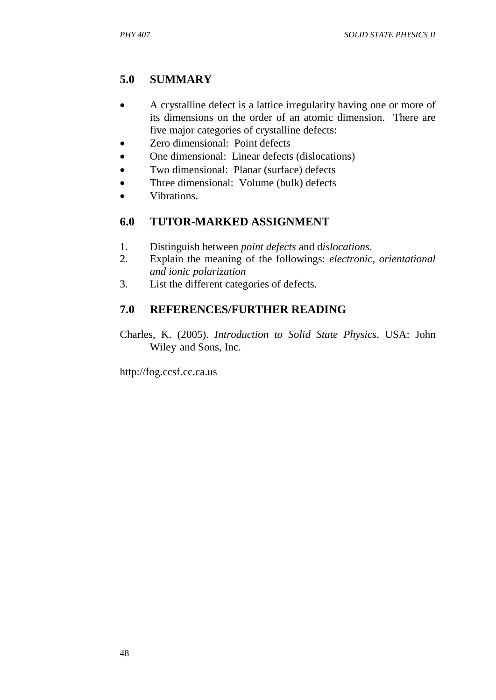- x average grain diameter
- $\bullet$  grain density.

The size and shape of grains are determined by a number of factors during solidification:

- lots of nucleation sites  $\Rightarrow$  fine grains
- $\bullet$  fewer nucleation sites  $\Rightarrow$  coarse grains
- equal growth in all directions  $\Rightarrow$  equiaxed grains
- $\bullet$  thermal gradients  $\Rightarrow$  elongated or columnar grains
- slow growth  $\Rightarrow$  coarse grains
- rapid growth  $\Rightarrow$  fine grains.

Most materials are polycrystalline (or polygranular). There are some applications where the expense and time to produce single crystal materials (and hence no grain boundaries) is justified:

- $\bullet$  turbine blades
- $\bullet$  silicon wafer chips.
- **Twin boundaries** a special type of grain boundary across which there exists a mirror image of the crystal lattice. It is produced by mechanical shear stresses and/or annealing some materials.
- **Stacking faults** the interruption of the stacking sequence of close packed planes.
- **Phase boundaries -** the surface area between the grains in multiphase materials.
- **Ferromagnetic domain walls** the boundary between regions that have a different orientation of magnetic dipoles.

# **3.1.4 Volume (Bulk) Defects**

These are introduced during processing and fabrication.

- $\bullet$  Pores
- $\bullet$  Cracks
- Foreign inclusions.

# **4.0 CONCLUSION**

In this unit, we have examined the properties of dielectric materials. In addition, we differentiated between paramagnetism and diamagnetism; ferromagnetism and anti-ferromagnetism. We also explained magnetic resonance. We ended the unit with a brief explanation on the various imperfections in solids.